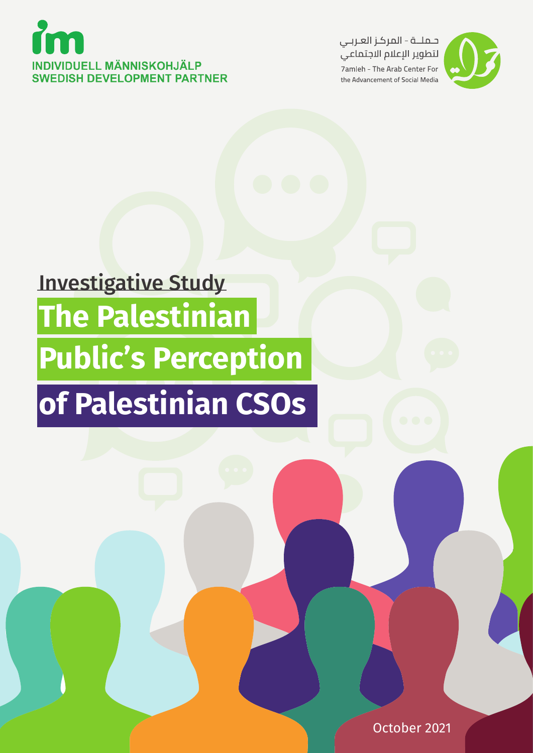

حـملــة - المركـز العـربــى لتطوير الإعلام الاجتماعي 7amleh - The Arab Center For the Advancement of Social Media



# Investigative Study **The Palestinian Public's Perception**

# **of Palestinian CSOs**

October 2021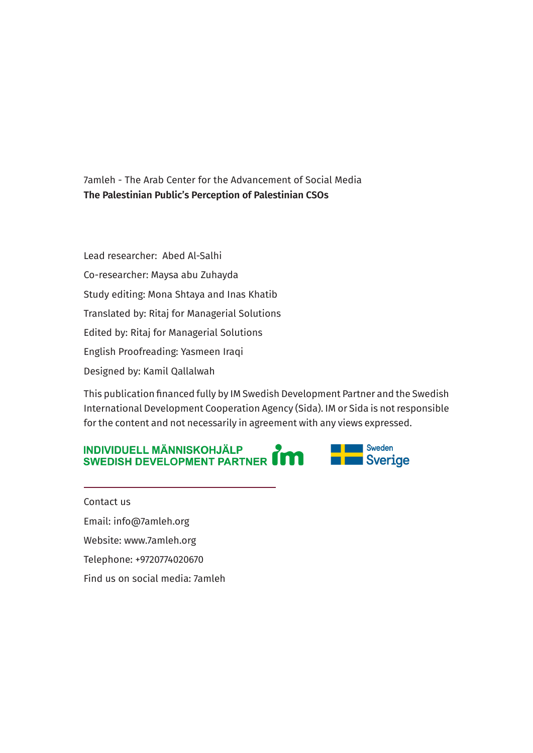7amleh - The Arab Center for the Advancement of Social Media **The Palestinian Public's Perception of Palestinian CSOs** 

Lead researcher: Abed Al-Salhi Co-researcher: Maysa abu Zuhayda Study editing: Mona Shtaya and Inas Khatib Translated by: Ritaj for Managerial Solutions Edited by: Ritaj for Managerial Solutions English Proofreading: Yasmeen Iraqi Designed by: Kamil Qallalwah

This publication financed fully by IM Swedish Development Partner and the Swedish International Development Cooperation Agency (Sida). IM or Sida is not responsible for the content and not necessarily in agreement with any views expressed.

#### **Sweden**<br>**Sverige INDIVIDUELL MÄNNISKOHJÄLP** INDIVIDUELL MANNISKOHJALP<br>SWEDISH DEVELOPMENT PARTNER

Contact us Email: info@7amleh.org Website: [www.7amleh.org](http://www.7amleh.org) Telephone: +9720774020670 Find us on social media: 7amleh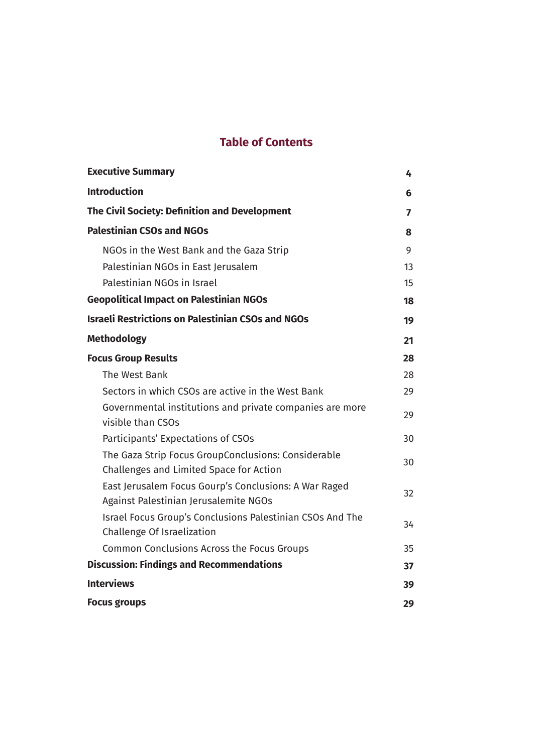## **Table of Contents**

| <b>Executive Summary</b>                                                                       | 4  |
|------------------------------------------------------------------------------------------------|----|
| <b>Introduction</b>                                                                            | 6  |
| The Civil Society: Definition and Development                                                  | 7  |
| <b>Palestinian CSOs and NGOs</b>                                                               | 8  |
| NGOs in the West Bank and the Gaza Strip                                                       | 9  |
| Palestinian NGOs in East Jerusalem                                                             | 13 |
| Palestinian NGOs in Israel                                                                     | 15 |
| <b>Geopolitical Impact on Palestinian NGOs</b>                                                 | 18 |
| <b>Israeli Restrictions on Palestinian CSOs and NGOs</b>                                       | 19 |
| <b>Methodology</b>                                                                             | 21 |
| <b>Focus Group Results</b>                                                                     | 28 |
| The West Bank                                                                                  | 28 |
| Sectors in which CSOs are active in the West Bank                                              | 29 |
| Governmental institutions and private companies are more<br>visible than CSOs                  | 29 |
| Participants' Expectations of CSOs                                                             | 30 |
| The Gaza Strip Focus GroupConclusions: Considerable<br>Challenges and Limited Space for Action | 30 |
| East Jerusalem Focus Gourp's Conclusions: A War Raged<br>Against Palestinian Jerusalemite NGOs | 32 |
| Israel Focus Group's Conclusions Palestinian CSOs And The<br>Challenge Of Israelization        | 34 |
| <b>Common Conclusions Across the Focus Groups</b>                                              | 35 |
| <b>Discussion: Findings and Recommendations</b>                                                | 37 |
| <b>Interviews</b>                                                                              | 39 |
| <b>Focus groups</b>                                                                            | 29 |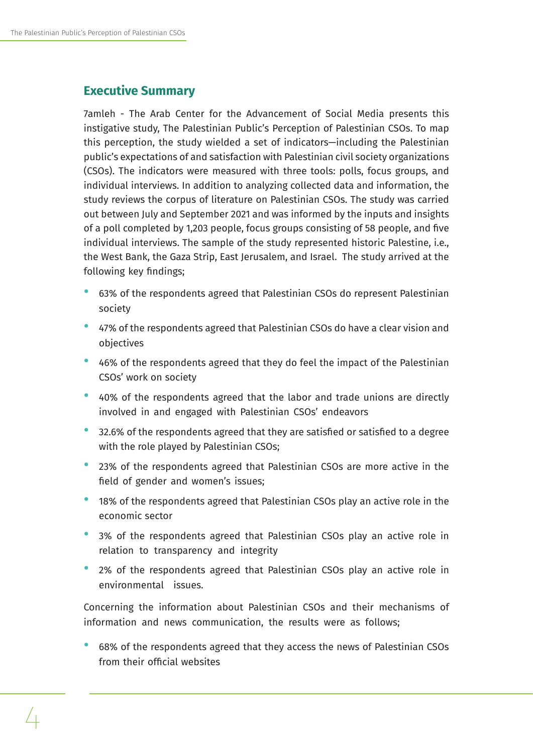## **Executive Summary**

7amleh - The Arab Center for the Advancement of Social Media presents this instigative study, The Palestinian Public's Perception of Palestinian CSOs. To map this perception, the study wielded a set of indicators—including the Palestinian public's expectations of and satisfaction with Palestinian civil society organizations (CSOs). The indicators were measured with three tools: polls, focus groups, and individual interviews. In addition to analyzing collected data and information, the study reviews the corpus of literature on Palestinian CSOs. The study was carried out between July and September 2021 and was informed by the inputs and insights of a poll completed by 1,203 people, focus groups consisting of 58 people, and five individual interviews. The sample of the study represented historic Palestine, i.e., the West Bank, the Gaza Strip, East Jerusalem, and Israel. The study arrived at the following key findings;

- 63% of the respondents agreed that Palestinian CSOs do represent Palestinian society
- 47% of the respondents agreed that Palestinian CSOs do have a clear vision and objectives
- 46% of the respondents agreed that they do feel the impact of the Palestinian CSOs' work on society
- 40% of the respondents agreed that the labor and trade unions are directly involved in and engaged with Palestinian CSOs' endeavors
- 32.6% of the respondents agreed that they are satisfied or satisfied to a degree with the role played by Palestinian CSOs;
- 23% of the respondents agreed that Palestinian CSOs are more active in the field of gender and women's issues;
- 18% of the respondents agreed that Palestinian CSOs play an active role in the economic sector
- 3% of the respondents agreed that Palestinian CSOs play an active role in relation to transparency and integrity
- 2% of the respondents agreed that Palestinian CSOs play an active role in environmental issues.

Concerning the information about Palestinian CSOs and their mechanisms of information and news communication, the results were as follows;

• 68% of the respondents agreed that they access the news of Palestinian CSOs from their official websites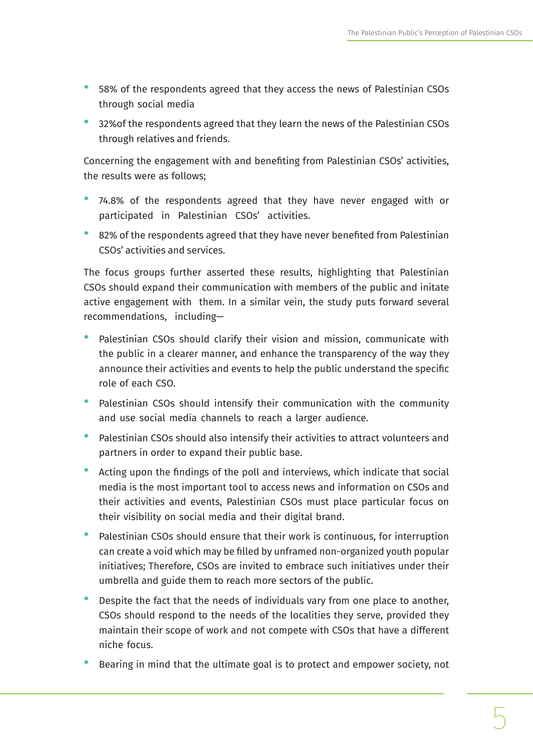- 58% of the respondents agreed that they access the news of Palestinian CSOs through social media
- 32%of the respondents agreed that they learn the news of the Palestinian CSOs through relatives and friends.

Concerning the engagement with and benefiting from Palestinian CSOs' activities, the results were as follows;

- 74.8% of the respondents agreed that they have never engaged with or participated in Palestinian CSOs' activities.
- 82% of the respondents agreed that they have never benefited from Palestinian CSOs' activities and services.

The focus groups further asserted these results, highlighting that Palestinian CSOs should expand their communication with members of the public and initate active engagement with them. In a similar vein, the study puts forward several recommendations, including—

- Palestinian CSOs should clarify their vision and mission, communicate with the public in a clearer manner, and enhance the transparency of the way they announce their activities and events to help the public understand the specific role of each CSO.
- Palestinian CSOs should intensify their communication with the community and use social media channels to reach a larger audience.
- Palestinian CSOs should also intensify their activities to attract volunteers and partners in order to expand their public base.
- Acting upon the findings of the poll and interviews, which indicate that social media is the most important tool to access news and information on CSOs and their activities and events, Palestinian CSOs must place particular focus on their visibility on social media and their digital brand.
- Palestinian CSOs should ensure that their work is continuous, for interruption can create a void which may be filled by unframed non-organized youth popular initiatives; Therefore, CSOs are invited to embrace such initiatives under their umbrella and guide them to reach more sectors of the public.
- Despite the fact that the needs of individuals vary from one place to another, CSOs should respond to the needs of the localities they serve, provided they maintain their scope of work and not compete with CSOs that have a different niche focus.
- Bearing in mind that the ultimate goal is to protect and empower society, not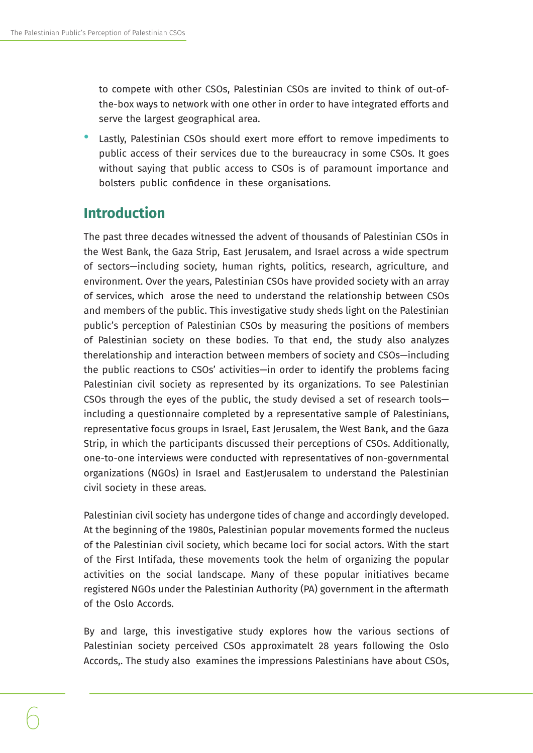to compete with other CSOs, Palestinian CSOs are invited to think of out-ofthe-box ways to network with one other in order to have integrated efforts and serve the largest geographical area.

Lastly, Palestinian CSOs should exert more effort to remove impediments to public access of their services due to the bureaucracy in some CSOs. It goes without saying that public access to CSOs is of paramount importance and bolsters public confidence in these organisations.

# **Introduction**

The past three decades witnessed the advent of thousands of Palestinian CSOs in the West Bank, the Gaza Strip, East Jerusalem, and Israel across a wide spectrum of sectors—including society, human rights, politics, research, agriculture, and environment. Over the years, Palestinian CSOs have provided society with an array of services, which arose the need to understand the relationship between CSOs and members of the public. This investigative study sheds light on the Palestinian public's perception of Palestinian CSOs by measuring the positions of members of Palestinian society on these bodies. To that end, the study also analyzes therelationship and interaction between members of society and CSOs—including the public reactions to CSOs' activities—in order to identify the problems facing Palestinian civil society as represented by its organizations. To see Palestinian CSOs through the eyes of the public, the study devised a set of research tools including a questionnaire completed by a representative sample of Palestinians, representative focus groups in Israel, East Jerusalem, the West Bank, and the Gaza Strip, in which the participants discussed their perceptions of CSOs. Additionally, one-to-one interviews were conducted with representatives of non-governmental organizations (NGOs) in Israel and EastJerusalem to understand the Palestinian civil society in these areas.

Palestinian civil society has undergone tides of change and accordingly developed. At the beginning of the 1980s, Palestinian popular movements formed the nucleus of the Palestinian civil society, which became loci for social actors. With the start of the First Intifada, these movements took the helm of organizing the popular activities on the social landscape. Many of these popular initiatives became registered NGOs under the Palestinian Authority (PA) government in the aftermath of the Oslo Accords.

By and large, this investigative study explores how the various sections of Palestinian society perceived CSOs approximatelt 28 years following the Oslo Accords,. The study also examines the impressions Palestinians have about CSOs,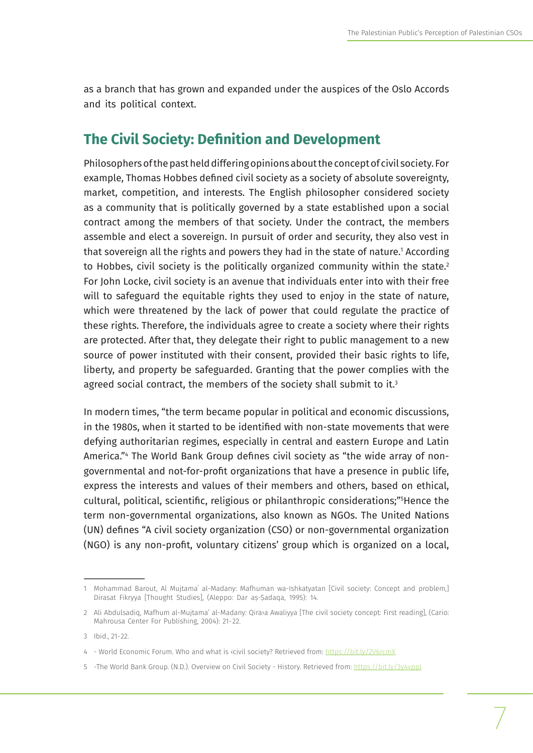as a branch that has grown and expanded under the auspices of the Oslo Accords and its political context.

# **The Civil Society: Definition and Development**

Philosophers of the past held differing opinions about the concept of civil society. For example, Thomas Hobbes defined civil society as a society of absolute sovereignty, market, competition, and interests. The English philosopher considered society as a community that is politically governed by a state established upon a social contract among the members of that society. Under the contract, the members assemble and elect a sovereign. In pursuit of order and security, they also vest in that sovereign all the rights and powers they had in the state of nature.' According to Hobbes, civil society is the politically organized community within the state.<sup>2</sup> For John Locke, civil society is an avenue that individuals enter into with their free will to safeguard the equitable rights they used to enjoy in the state of nature, which were threatened by the lack of power that could regulate the practice of these rights. Therefore, the individuals agree to create a society where their rights are protected. After that, they delegate their right to public management to a new source of power instituted with their consent, provided their basic rights to life, liberty, and property be safeguarded. Granting that the power complies with the agreed social contract, the members of the society shall submit to it.<sup>3</sup>

In modern times, "the term became popular in political and economic discussions, in the 1980s, when it started to be identified with non-state movements that were defying authoritarian regimes, especially in central and eastern Europe and Latin America."4 The World Bank Group defines civil society as "the wide array of nongovernmental and not-for-profit organizations that have a presence in public life, express the interests and values of their members and others, based on ethical, cultural, political, scientific, religious or philanthropic considerations;"<sup>5</sup> Hence the term non-governmental organizations, also known as NGOs. The United Nations (UN) defines "A civil society organization (CSO) or non-governmental organization (NGO) is any non-profit, voluntary citizens' group which is organized on a local,

<sup>1</sup> Mohammad Barout, Al Mujtamaʿ al-Madany: Mafhuman wa-Ishkatyatan [Civil society: Concept and problem,] Dirasat Fikryya [Thought Studies], (Aleppo: Dar aṣ-Ṣadaqa, 1995): 14.

<sup>2</sup> Ali Abdulsadig, Mafhum al-Muitama' al-Madany: Qira>a Awaliyya [The civil society concept: First reading], (Cario: Mahrousa Center For Publishing, 2004): 21-22.

<sup>3</sup> Ibid., 21-22.

<sup>4</sup> - World Economic Forum. Who and what is ‹civil society? Retrieved from: <https://bit.ly/2V6rcmX>

<sup>5</sup> -The World Bank Group. (N.D.). Overview on Civil Society - History. Retrieved from:<https://bit.ly/3y4vppJ>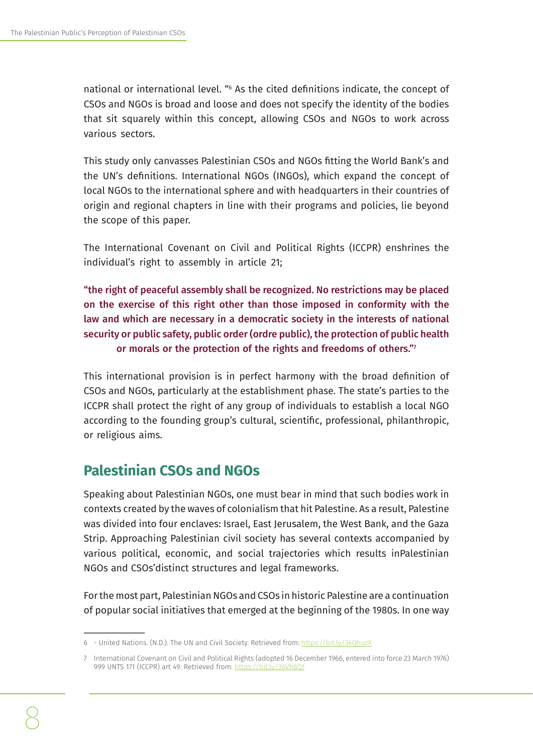national or international level. "<sup>6</sup> As the cited definitions indicate, the concept of CSOs and NGOs is broad and loose and does not specify the identity of the bodies that sit squarely within this concept, allowing CSOs and NGOs to work across various sectors.

This study only canvasses Palestinian CSOs and NGOs fitting the World Bank's and the UN's definitions. International NGOs (INGOs), which expand the concept of local NGOs to the international sphere and with headquarters in their countries of origin and regional chapters in line with their programs and policies, lie beyond the scope of this paper.

The International Covenant on Civil and Political Rights (ICCPR) enshrines the individual's right to assembly in article 21;

"the right of peaceful assembly shall be recognized. No restrictions may be placed on the exercise of this right other than those imposed in conformity with the law and which are necessary in a democratic society in the interests of national security or public safety, public order (ordre public), the protection of public health or morals or the protection of the rights and freedoms of others."7

This international provision is in perfect harmony with the broad definition of CSOs and NGOs, particularly at the establishment phase. The state's parties to the ICCPR shall protect the right of any group of individuals to establish a local NGO according to the founding group's cultural, scientific, professional, philanthropic, or religious aims.

# **Palestinian CSOs and NGOs**

Speaking about Palestinian NGOs, one must bear in mind that such bodies work in contexts created by the waves of colonialism that hit Palestine. As a result, Palestine was divided into four enclaves: Israel, East Jerusalem, the West Bank, and the Gaza Strip. Approaching Palestinian civil society has several contexts accompanied by various political, economic, and social trajectories which results inPalestinian NGOs and CSOs'distinct structures and legal frameworks.

For the most part, Palestinian NGOs and CSOs in historic Palestine are a continuation of popular social initiatives that emerged at the beginning of the 1980s. In one way

<sup>6</sup> - United Nations. (N.D.). The UN and Civil Society. Retrieved from: <https://bit.ly/3kQhuzX>

<sup>7</sup> International Covenant on Civil and Political Rights (adopted 16 December 1966, entered into force 23 March 1976) 999 UNTS 171 (ICCPR) art 49. Retrieved from:<https://bit.ly/36Vh8Qf>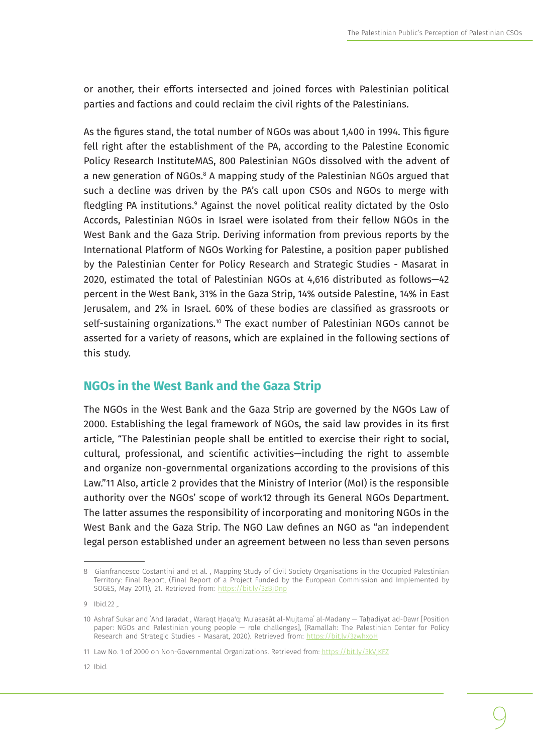or another, their efforts intersected and joined forces with Palestinian political parties and factions and could reclaim the civil rights of the Palestinians.

As the figures stand, the total number of NGOs was about 1,400 in 1994. This figure fell right after the establishment of the PA, according to the Palestine Economic Policy Research InstituteMAS, 800 Palestinian NGOs dissolved with the advent of a new generation of NGOs.<sup>8</sup> A mapping study of the Palestinian NGOs argued that such a decline was driven by the PA's call upon CSOs and NGOs to merge with fledgling PA institutions.<sup>9</sup> Against the novel political reality dictated by the Oslo Accords, Palestinian NGOs in Israel were isolated from their fellow NGOs in the West Bank and the Gaza Strip. Deriving information from previous reports by the International Platform of NGOs Working for Palestine, a position paper published by the Palestinian Center for Policy Research and Strategic Studies - Masarat in 2020, estimated the total of Palestinian NGOs at 4,616 distributed as follows—42 percent in the West Bank, 31% in the Gaza Strip, 14% outside Palestine, 14% in East Jerusalem, and 2% in Israel. 60% of these bodies are classified as grassroots or self-sustaining organizations.<sup>10</sup> The exact number of Palestinian NGOs cannot be asserted for a variety of reasons, which are explained in the following sections of this study.

## **NGOs in the West Bank and the Gaza Strip**

The NGOs in the West Bank and the Gaza Strip are governed by the NGOs Law of 2000. Establishing the legal framework of NGOs, the said law provides in its first article, "The Palestinian people shall be entitled to exercise their right to social, cultural, professional, and scientific activities—including the right to assemble and organize non-governmental organizations according to the provisions of this Law."11 Also, article 2 provides that the Ministry of Interior (MoI) is the responsible authority over the NGOs' scope of work12 through its General NGOs Department. The latter assumes the responsibility of incorporating and monitoring NGOs in the West Bank and the Gaza Strip. The NGO Law defines an NGO as "an independent legal person established under an agreement between no less than seven persons

12 Ibid.

<sup>8</sup> Gianfrancesco Costantini and et al. , Mapping Study of Civil Society Organisations in the Occupied Palestinian Territory: Final Report, (Final Report of a Project Funded by the European Commission and Implemented by SOGES, May 2011), 21. Retrieved from: <https://bit.ly/3zBjDnp>

<sup>9</sup> Ibid.22 ,.

<sup>10</sup> Ashraf Sukar and ʿAhd Jaradat , Waraqt Ḥaqa'q: Mu'asasāt al-Mujtamaʿ al-Madany — Taḥadiyat ad-Dawr [Position paper: NGOs and Palestinian young people — role challenges], (Ramallah: The Palestinian Center for Policy Research and Strategic Studies - Masarat, 2020). Retrieved from: <https://bit.ly/3zwhxoH>

<sup>11</sup> Law No. 1 of 2000 on Non-Governmental Organizations. Retrieved from:<https://bit.ly/3kVjKFZ>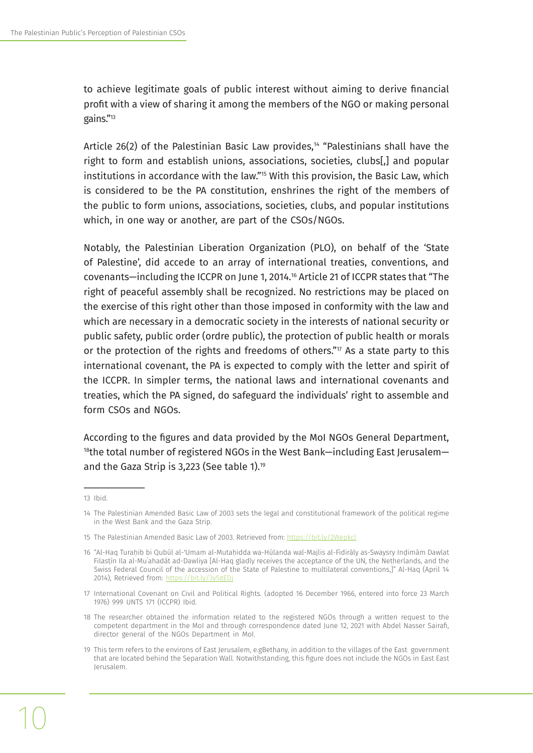to achieve legitimate goals of public interest without aiming to derive financial profit with a view of sharing it among the members of the NGO or making personal gains."13

Article 26(2) of the Palestinian Basic Law provides,<sup>14</sup> "Palestinians shall have the right to form and establish unions, associations, societies, clubs[,] and popular institutions in accordance with the law."15 With this provision, the Basic Law, which is considered to be the PA constitution, enshrines the right of the members of the public to form unions, associations, societies, clubs, and popular institutions which, in one way or another, are part of the CSOs/NGOs.

Notably, the Palestinian Liberation Organization (PLO), on behalf of the 'State of Palestine', did accede to an array of international treaties, conventions, and covenants—including the ICCPR on June 1, 2014.16 Article 21 of ICCPR states that "The right of peaceful assembly shall be recognized. No restrictions may be placed on the exercise of this right other than those imposed in conformity with the law and which are necessary in a democratic society in the interests of national security or public safety, public order (ordre public), the protection of public health or morals or the protection of the rights and freedoms of others." $\frac{1}{12}$  As a state party to this international covenant, the PA is expected to comply with the letter and spirit of the ICCPR. In simpler terms, the national laws and international covenants and treaties, which the PA signed, do safeguard the individuals' right to assemble and form CSOs and NGOs.

According to the figures and data provided by the MoI NGOs General Department,  $18$ the total number of registered NGOs in the West Bank—including East Jerusalem and the Gaza Strip is 3,223 (See table 1).19

<sup>13</sup> Ibid.

<sup>14</sup> The Palestinian Amended Basic Law of 2003 sets the legal and constitutional framework of the political regime in the West Bank and the Gaza Strip.

<sup>15</sup> The Palestinian Amended Basic Law of 2003. Retrieved from: <https://bit.ly/2Wepkcl>

<sup>16</sup> "Al-Haq Turaḥib bi Qubūl al-'Umam al-Mutaḥidda wa-Hūlanda wal-Majlis al-Fidirāly as-Swaysry Inḍimām Dawlat Filasṭīn Ila al-Muʿahadāt ad-Dawliya [Al-Haq gladly receives the acceptance of the UN, the Netherlands, and the Swiss Federal Council of the accession of the State of Palestine to multilateral conventions,]" Al-Haq (April 14 2014), Retrieved from: https://bit.ly/3y5gEDi

<sup>17</sup> International Covenant on Civil and Political Rights. (adopted 16 December 1966, entered into force 23 March 1976) 999 UNTS 171 (ICCPR) Ibid.

<sup>18</sup> The researcher obtained the information related to the registered NGOs through a written request to the competent department in the MoI and through correspondence dated June 12, 2021 with Abdel Nasser Sairafi, director general of the NGOs Department in MoI.

<sup>19</sup> This term refers to the environs of East Jerusalem, e.gBethany, in addition to the villages of the East government that are located behind the Separation Wall. Notwithstanding, this figure does not include the NGOs in East East Jerusalem.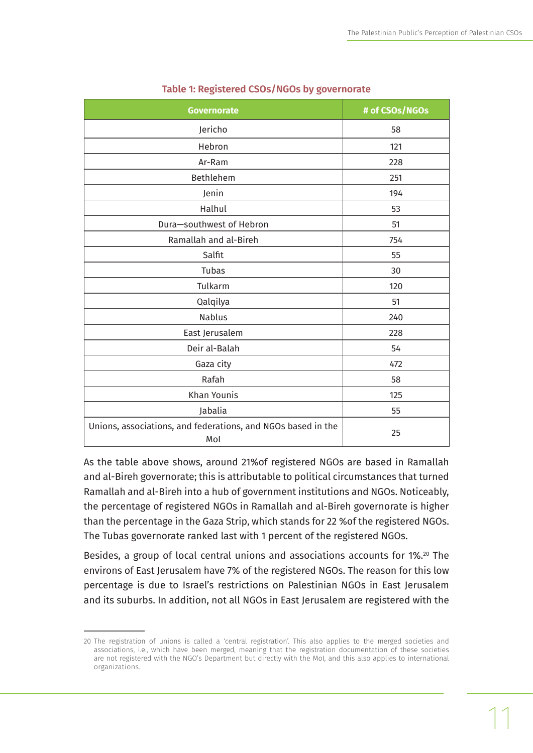| <b>Governorate</b>                                                  | # of CSOs/NGOs |
|---------------------------------------------------------------------|----------------|
| Jericho                                                             | 58             |
| Hebron                                                              | 121            |
| Ar-Ram                                                              | 228            |
| Bethlehem                                                           | 251            |
| Jenin                                                               | 194            |
| Halhul                                                              | 53             |
| Dura-southwest of Hebron                                            | 51             |
| Ramallah and al-Bireh                                               | 754            |
| Salfit                                                              | 55             |
| <b>Tubas</b>                                                        | 30             |
| Tulkarm                                                             | 120            |
| Qalqilya                                                            | 51             |
| <b>Nablus</b>                                                       | 240            |
| East Jerusalem                                                      | 228            |
| Deir al-Balah                                                       | 54             |
| Gaza city                                                           | 472            |
| Rafah                                                               | 58             |
| Khan Younis                                                         | 125            |
| Jabalia                                                             | 55             |
| Unions, associations, and federations, and NGOs based in the<br>Mol | 25             |

#### **Table 1: Registered CSOs/NGOs by governorate**

As the table above shows, around 21%of registered NGOs are based in Ramallah and al-Bireh governorate; this is attributable to political circumstances that turned Ramallah and al-Bireh into a hub of government institutions and NGOs. Noticeably, the percentage of registered NGOs in Ramallah and al-Bireh governorate is higher than the percentage in the Gaza Strip, which stands for 22 %of the registered NGOs. The Tubas governorate ranked last with 1 percent of the registered NGOs.

Besides, a group of local central unions and associations accounts for 1%.<sup>20</sup> The environs of East Jerusalem have 7% of the registered NGOs. The reason for this low percentage is due to Israel's restrictions on Palestinian NGOs in East Jerusalem and its suburbs. In addition, not all NGOs in East Jerusalem are registered with the

<sup>20</sup> The registration of unions is called a 'central registration'. This also applies to the merged societies and associations, i.e., which have been merged, meaning that the registration documentation of these societies are not registered with the NGO's Department but directly with the MoI, and this also applies to international organizations.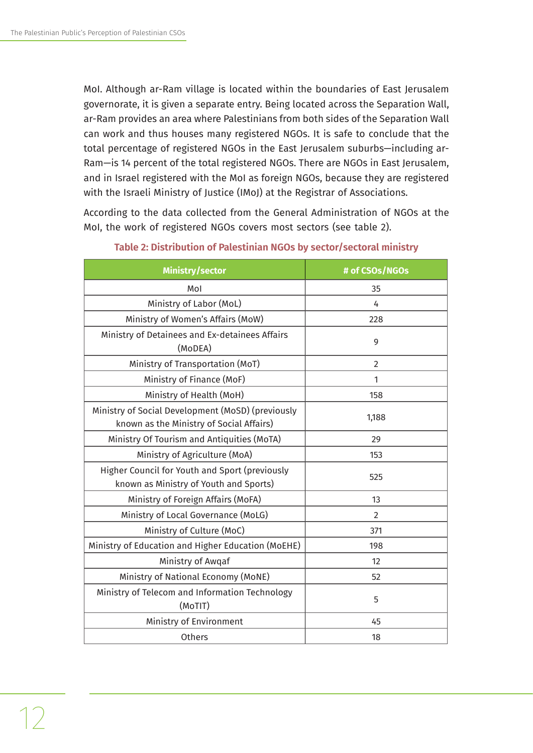MoI. Although ar-Ram village is located within the boundaries of East Jerusalem governorate, it is given a separate entry. Being located across the Separation Wall, ar-Ram provides an area where Palestinians from both sides of the Separation Wall can work and thus houses many registered NGOs. It is safe to conclude that the total percentage of registered NGOs in the East Jerusalem suburbs—including ar-Ram—is 14 percent of the total registered NGOs. There are NGOs in East Jerusalem, and in Israel registered with the MoI as foreign NGOs, because they are registered with the Israeli Ministry of Justice (IMoJ) at the Registrar of Associations.

According to the data collected from the General Administration of NGOs at the MoI, the work of registered NGOs covers most sectors (see table 2).

| <b>Ministry/sector</b>                                                                        | # of CSOs/NGOs |  |
|-----------------------------------------------------------------------------------------------|----------------|--|
| Mol                                                                                           | 35             |  |
| Ministry of Labor (MoL)                                                                       | 4              |  |
| Ministry of Women's Affairs (MoW)                                                             | 228            |  |
| Ministry of Detainees and Ex-detainees Affairs<br>(MoDEA)                                     | 9              |  |
| Ministry of Transportation (MoT)                                                              | $\overline{2}$ |  |
| Ministry of Finance (MoF)                                                                     | 1              |  |
| Ministry of Health (MoH)                                                                      | 158            |  |
| Ministry of Social Development (MoSD) (previously<br>known as the Ministry of Social Affairs) | 1,188          |  |
| Ministry Of Tourism and Antiquities (MoTA)                                                    | 29             |  |
| Ministry of Agriculture (MoA)                                                                 | 153            |  |
| Higher Council for Youth and Sport (previously<br>known as Ministry of Youth and Sports)      | 525            |  |
| Ministry of Foreign Affairs (MoFA)                                                            | 13             |  |
| Ministry of Local Governance (MoLG)                                                           | $\overline{2}$ |  |
| Ministry of Culture (MoC)                                                                     | 371            |  |
| Ministry of Education and Higher Education (MoEHE)                                            | 198            |  |
| Ministry of Awqaf                                                                             | 12             |  |
| Ministry of National Economy (MoNE)                                                           | 52             |  |
| Ministry of Telecom and Information Technology<br>(MoTIT)                                     | 5              |  |
| Ministry of Environment                                                                       | 45             |  |
| Others                                                                                        | 18             |  |

#### **Table 2: Distribution of Palestinian NGOs by sector/sectoral ministry**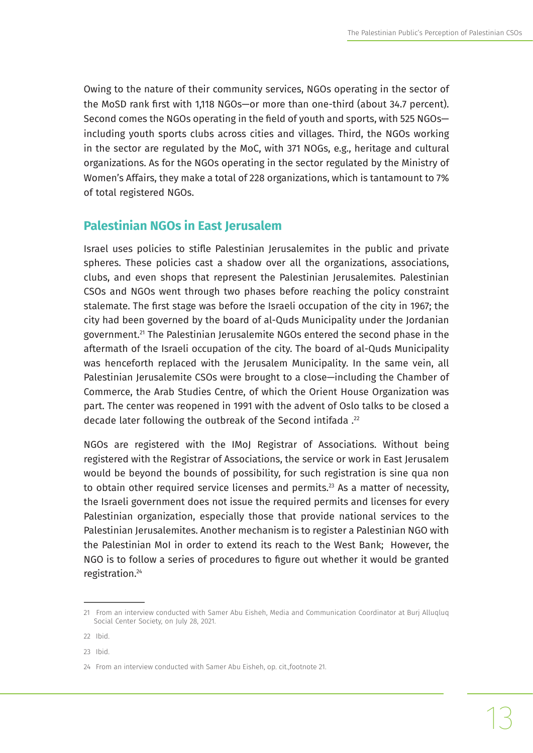Owing to the nature of their community services, NGOs operating in the sector of the MoSD rank first with 1,118 NGOs—or more than one-third (about 34.7 percent). Second comes the NGOs operating in the field of youth and sports, with 525 NGOs including youth sports clubs across cities and villages. Third, the NGOs working in the sector are regulated by the MoC, with 371 NOGs, e.g., heritage and cultural organizations. As for the NGOs operating in the sector regulated by the Ministry of Women's Affairs, they make a total of 228 organizations, which is tantamount to 7% of total registered NGOs.

### **Palestinian NGOs in East Jerusalem**

Israel uses policies to stifle Palestinian Jerusalemites in the public and private spheres. These policies cast a shadow over all the organizations, associations, clubs, and even shops that represent the Palestinian Jerusalemites. Palestinian CSOs and NGOs went through two phases before reaching the policy constraint stalemate. The first stage was before the Israeli occupation of the city in 1967; the city had been governed by the board of al-Quds Municipality under the Jordanian government.<sup>21</sup> The Palestinian Jerusalemite NGOs entered the second phase in the aftermath of the Israeli occupation of the city. The board of al-Quds Municipality was henceforth replaced with the Jerusalem Municipality. In the same vein, all Palestinian Jerusalemite CSOs were brought to a close—including the Chamber of Commerce, the Arab Studies Centre, of which the Orient House Organization was part. The center was reopened in 1991 with the advent of Oslo talks to be closed a decade later following the outbreak of the Second intifada .22

NGOs are registered with the IMoJ Registrar of Associations. Without being registered with the Registrar of Associations, the service or work in East Jerusalem would be beyond the bounds of possibility, for such registration is sine qua non to obtain other required service licenses and permits.<sup>23</sup> As a matter of necessity, the Israeli government does not issue the required permits and licenses for every Palestinian organization, especially those that provide national services to the Palestinian Jerusalemites. Another mechanism is to register a Palestinian NGO with the Palestinian MoI in order to extend its reach to the West Bank; However, the NGO is to follow a series of procedures to figure out whether it would be granted registration.24

<sup>21</sup> From an interview conducted with Samer Abu Eisheh, Media and Communication Coordinator at Burj Alluqluq Social Center Society, on July 28, 2021.

<sup>22</sup> Ibid.

<sup>23</sup> Ibid.

<sup>24</sup> From an interview conducted with Samer Abu Eisheh, op. cit.,footnote 21.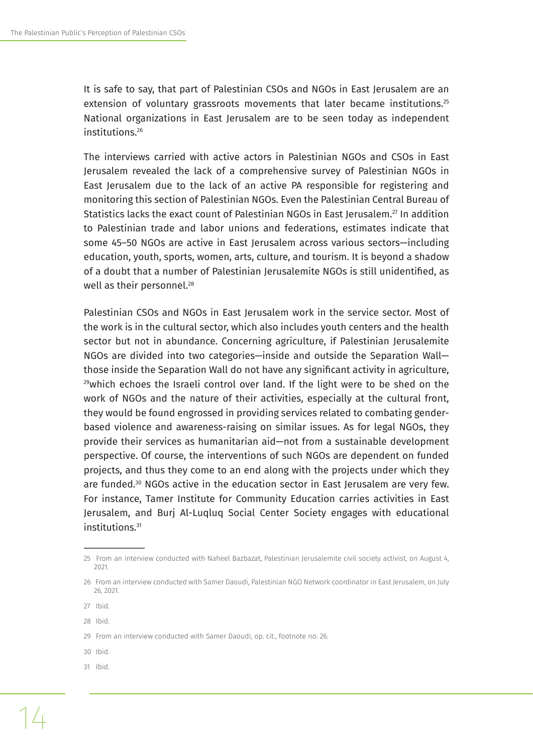It is safe to say, that part of Palestinian CSOs and NGOs in East Jerusalem are an extension of voluntary grassroots movements that later became institutions.<sup>25</sup> National organizations in East Jerusalem are to be seen today as independent institutions.<sup>26</sup>

The interviews carried with active actors in Palestinian NGOs and CSOs in East Jerusalem revealed the lack of a comprehensive survey of Palestinian NGOs in East Jerusalem due to the lack of an active PA responsible for registering and monitoring this section of Palestinian NGOs. Even the Palestinian Central Bureau of Statistics lacks the exact count of Palestinian NGOs in East Jerusalem.27 In addition to Palestinian trade and labor unions and federations, estimates indicate that some 45–50 NGOs are active in East Jerusalem across various sectors—including education, youth, sports, women, arts, culture, and tourism. It is beyond a shadow of a doubt that a number of Palestinian Jerusalemite NGOs is still unidentified, as well as their personnel.<sup>28</sup>

Palestinian CSOs and NGOs in East Jerusalem work in the service sector. Most of the work is in the cultural sector, which also includes youth centers and the health sector but not in abundance. Concerning agriculture, if Palestinian Jerusalemite NGOs are divided into two categories—inside and outside the Separation Wall those inside the Separation Wall do not have any significant activity in agriculture, <sup>29</sup>which echoes the Israeli control over land. If the light were to be shed on the work of NGOs and the nature of their activities, especially at the cultural front, they would be found engrossed in providing services related to combating genderbased violence and awareness-raising on similar issues. As for legal NGOs, they provide their services as humanitarian aid—not from a sustainable development perspective. Of course, the interventions of such NGOs are dependent on funded projects, and thus they come to an end along with the projects under which they are funded.30 NGOs active in the education sector in East Jerusalem are very few. For instance, Tamer Institute for Community Education carries activities in East Jerusalem, and Burj Al-Luqluq Social Center Society engages with educational institutions.<sup>31</sup>

- 30 Ibid.
- 31 Ibid.

<sup>25</sup> From an interview conducted with Naheel Bazbazat, Palestinian Jerusalemite civil society activist, on August 4, 2021.

<sup>26</sup> From an interview conducted with Samer Daoudi, Palestinian NGO Network coordinator in East Jerusalem, on July 26, 2021.

 $27$  Ibid.

<sup>28</sup> Ibid.

<sup>29</sup> From an interview conducted with Samer Daoudi, op. cit., footnote no. 26.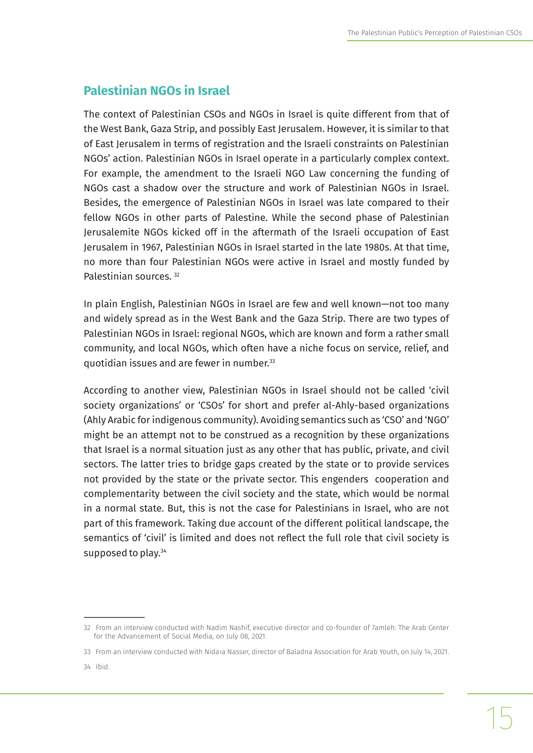## **Palestinian NGOs in Israel**

The context of Palestinian CSOs and NGOs in Israel is quite different from that of the West Bank, Gaza Strip, and possibly East Jerusalem. However, it is similar to that of East Jerusalem in terms of registration and the Israeli constraints on Palestinian NGOs' action. Palestinian NGOs in Israel operate in a particularly complex context. For example, the amendment to the Israeli NGO Law concerning the funding of NGOs cast a shadow over the structure and work of Palestinian NGOs in Israel. Besides, the emergence of Palestinian NGOs in Israel was late compared to their fellow NGOs in other parts of Palestine. While the second phase of Palestinian Jerusalemite NGOs kicked off in the aftermath of the Israeli occupation of East Jerusalem in 1967, Palestinian NGOs in Israel started in the late 1980s. At that time, no more than four Palestinian NGOs were active in Israel and mostly funded by Palestinian sources. 32

In plain English, Palestinian NGOs in Israel are few and well known—not too many and widely spread as in the West Bank and the Gaza Strip. There are two types of Palestinian NGOs in Israel: regional NGOs, which are known and form a rather small community, and local NGOs, which often have a niche focus on service, relief, and quotidian issues and are fewer in number.33

According to another view, Palestinian NGOs in Israel should not be called 'civil society organizations' or 'CSOs' for short and prefer al-Ahly-based organizations (Ahly Arabic for indigenous community). Avoiding semantics such as 'CSO' and 'NGO' might be an attempt not to be construed as a recognition by these organizations that Israel is a normal situation just as any other that has public, private, and civil sectors. The latter tries to bridge gaps created by the state or to provide services not provided by the state or the private sector. This engenders cooperation and complementarity between the civil society and the state, which would be normal in a normal state. But, this is not the case for Palestinians in Israel, who are not part of this framework. Taking due account of the different political landscape, the semantics of 'civil' is limited and does not reflect the full role that civil society is supposed to play.34

<sup>32</sup> From an interview conducted with Nadim Nashif, executive director and co-founder of 7amleh: The Arab Center for the Advancement of Social Media, on July 08, 2021.

<sup>33</sup> From an interview conducted with Nida>a Nasser, director of Baladna Association for Arab Youth, on July 14, 2021.

<sup>34</sup> Ibid.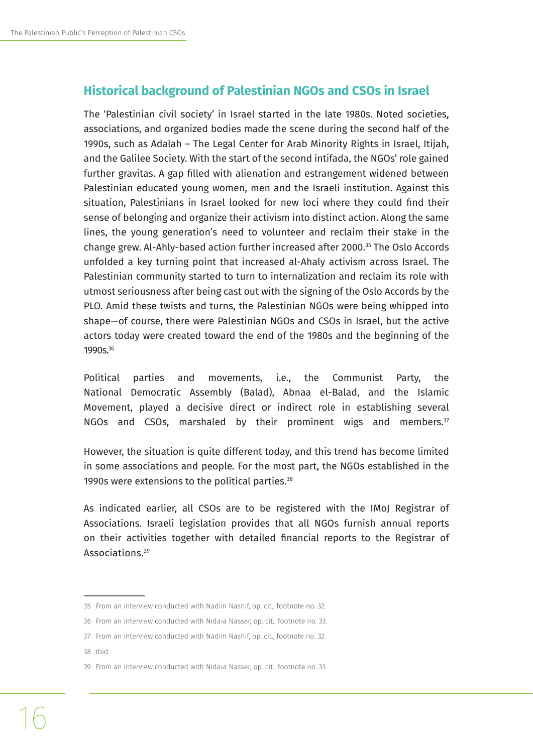# **Historical background of Palestinian NGOs and CSOs in Israel**

The 'Palestinian civil society' in Israel started in the late 1980s. Noted societies, associations, and organized bodies made the scene during the second half of the 1990s, such as Adalah – The Legal Center for Arab Minority Rights in Israel, Itijah, and the Galilee Society. With the start of the second intifada, the NGOs' role gained further gravitas. A gap filled with alienation and estrangement widened between Palestinian educated young women, men and the Israeli institution. Against this situation, Palestinians in Israel looked for new loci where they could find their sense of belonging and organize their activism into distinct action. Along the same lines, the young generation's need to volunteer and reclaim their stake in the change grew. Al-Ahly-based action further increased after 2000.35 The Oslo Accords unfolded a key turning point that increased al-Ahaly activism across Israel. The Palestinian community started to turn to internalization and reclaim its role with utmost seriousness after being cast out with the signing of the Oslo Accords by the PLO. Amid these twists and turns, the Palestinian NGOs were being whipped into shape—of course, there were Palestinian NGOs and CSOs in Israel, but the active actors today were created toward the end of the 1980s and the beginning of the 1990s.36

Political parties and movements, i.e., the Communist Party, the National Democratic Assembly (Balad), Abnaa el-Balad, and the Islamic Movement, played a decisive direct or indirect role in establishing several NGOs and CSOs, marshaled by their prominent wigs and members. $37$ 

However, the situation is quite different today, and this trend has become limited in some associations and people. For the most part, the NGOs established in the 1990s were extensions to the political parties. $38$ 

As indicated earlier, all CSOs are to be registered with the IMoJ Registrar of Associations. Israeli legislation provides that all NGOs furnish annual reports on their activities together with detailed financial reports to the Registrar of Associations.39

38 Ibid.

<sup>35</sup> From an interview conducted with Nadim Nashif, op. cit., footnote no. 32.

<sup>36</sup> From an interview conducted with Nida›a Nasser, op. cit., footnote no. 33.

<sup>37</sup> From an interview conducted with Nadim Nashif, op. cit., footnote no. 32.

<sup>39</sup> From an interview conducted with Nida›a Nasser, op. cit., footnote no. 33.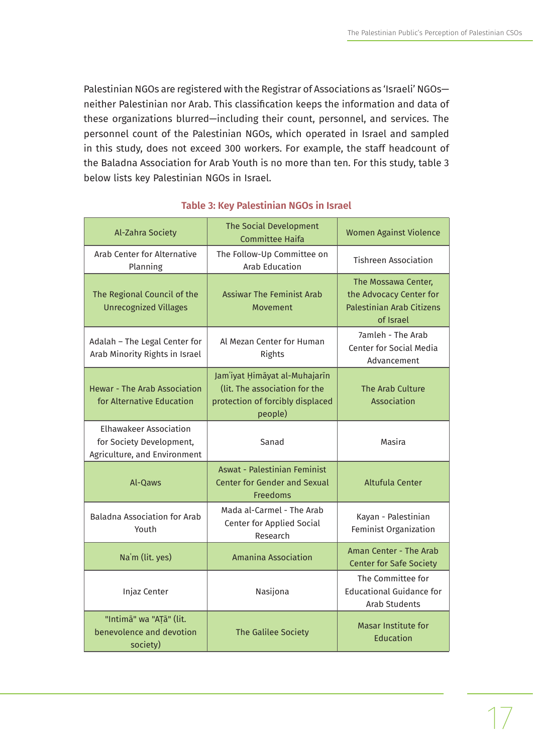Palestinian NGOs are registered with the Registrar of Associations as 'Israeli' NGOs neither Palestinian nor Arab. This classification keeps the information and data of these organizations blurred—including their count, personnel, and services. The personnel count of the Palestinian NGOs, which operated in Israel and sampled in this study, does not exceed 300 workers. For example, the staff headcount of the Baladna Association for Arab Youth is no more than ten. For this study, table 3 below lists key Palestinian NGOs in Israel.

| Al-Zahra Society                                                                          | The Social Development<br><b>Committee Haifa</b>                                                              | Women Against Violence                                                                          |  |
|-------------------------------------------------------------------------------------------|---------------------------------------------------------------------------------------------------------------|-------------------------------------------------------------------------------------------------|--|
| Arab Center for Alternative<br>Planning                                                   | The Follow-Up Committee on<br><b>Arab Education</b>                                                           | <b>Tishreen Association</b>                                                                     |  |
| The Regional Council of the<br><b>Unrecognized Villages</b>                               | <b>Assiwar The Feminist Arab</b><br>Movement                                                                  | The Mossawa Center,<br>the Advocacy Center for<br><b>Palestinian Arab Citizens</b><br>of Israel |  |
| Adalah - The Legal Center for<br>Arab Minority Rights in Israel                           | Al Mezan Center for Human<br>Rights                                                                           | <b>7amleh - The Arab</b><br>Center for Social Media<br>Advancement                              |  |
| <b>Hewar - The Arab Association</b><br>for Alternative Education                          | Jam'iyat Himayat al-Muhajarin<br>(lit. The association for the<br>protection of forcibly displaced<br>people) | The Arab Culture<br>Association                                                                 |  |
| <b>Elhawakeer Association</b><br>for Society Development,<br>Agriculture, and Environment | Sanad                                                                                                         | Masira                                                                                          |  |
| Al-Qaws                                                                                   | <b>Aswat - Palestinian Feminist</b><br><b>Center for Gender and Sexual</b><br>Freedoms                        | <b>Altufula Center</b>                                                                          |  |
| <b>Baladna Association for Arab</b><br>Youth                                              | Mada al-Carmel - The Arab<br>Center for Applied Social<br>Research                                            | Kayan - Palestinian<br>Feminist Organization                                                    |  |
| Na'm (lit. yes)                                                                           | <b>Amanina Association</b>                                                                                    | Aman Center - The Arab<br><b>Center for Safe Society</b>                                        |  |
| Injaz Center                                                                              | Nasijona                                                                                                      | The Committee for<br><b>Educational Guidance for</b><br><b>Arab Students</b>                    |  |
| "Intimā" wa "AȚā" (lit.<br>benevolence and devotion<br>society)                           | The Galilee Society                                                                                           | <b>Masar Institute for</b><br>Education                                                         |  |

#### **Table 3: Key Palestinian NGOs in Israel**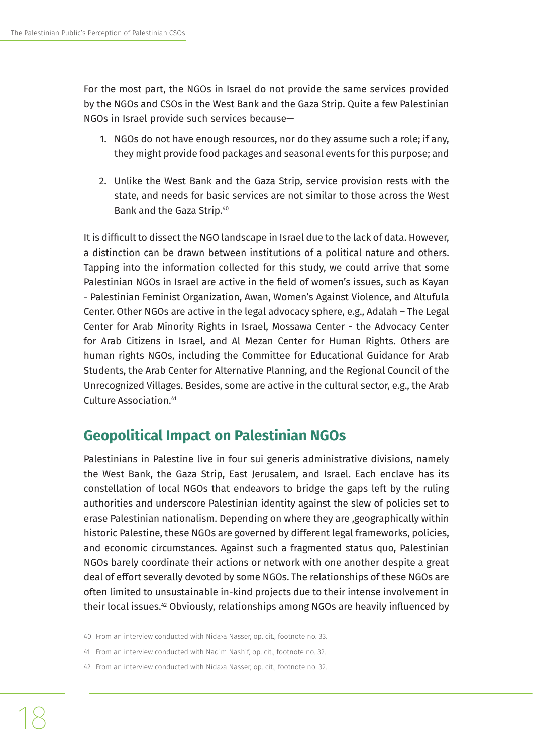For the most part, the NGOs in Israel do not provide the same services provided by the NGOs and CSOs in the West Bank and the Gaza Strip. Quite a few Palestinian NGOs in Israel provide such services because—

- 1. NGOs do not have enough resources, nor do they assume such a role; if any, they might provide food packages and seasonal events for this purpose; and
- 2. Unlike the West Bank and the Gaza Strip, service provision rests with the state, and needs for basic services are not similar to those across the West Bank and the Gaza Strip.40

It is difficult to dissect the NGO landscape in Israel due to the lack of data. However, a distinction can be drawn between institutions of a political nature and others. Tapping into the information collected for this study, we could arrive that some Palestinian NGOs in Israel are active in the field of women's issues, such as Kayan - Palestinian Feminist Organization, Awan, Women's Against Violence, and Altufula Center. Other NGOs are active in the legal advocacy sphere, e.g., Adalah – The Legal Center for Arab Minority Rights in Israel, Mossawa Center - the Advocacy Center for Arab Citizens in Israel, and Al Mezan Center for Human Rights. Others are human rights NGOs, including the Committee for Educational Guidance for Arab Students, the Arab Center for Alternative Planning, and the Regional Council of the Unrecognized Villages. Besides, some are active in the cultural sector, e.g., the Arab Culture Association.41

# **Geopolitical Impact on Palestinian NGOs**

Palestinians in Palestine live in four sui generis administrative divisions, namely the West Bank, the Gaza Strip, East Jerusalem, and Israel. Each enclave has its constellation of local NGOs that endeavors to bridge the gaps left by the ruling authorities and underscore Palestinian identity against the slew of policies set to erase Palestinian nationalism. Depending on where they are ,geographically within historic Palestine, these NGOs are governed by different legal frameworks, policies, and economic circumstances. Against such a fragmented status quo, Palestinian NGOs barely coordinate their actions or network with one another despite a great deal of effort severally devoted by some NGOs. The relationships of these NGOs are often limited to unsustainable in-kind projects due to their intense involvement in their local issues.42 Obviously, relationships among NGOs are heavily influenced by

<sup>40</sup> From an interview conducted with Nida›a Nasser, op. cit., footnote no. 33.

<sup>41</sup> From an interview conducted with Nadim Nashif, op. cit., footnote no. 32.

<sup>42</sup> From an interview conducted with Nida›a Nasser, op. cit., footnote no. 32.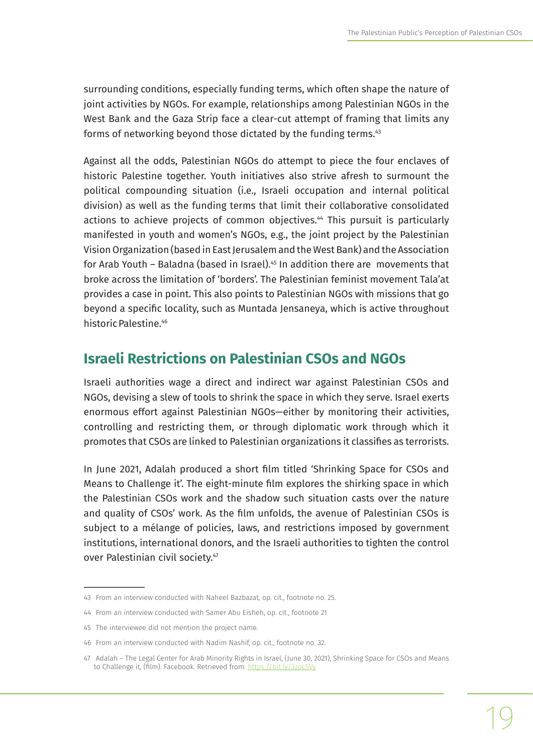surrounding conditions, especially funding terms, which often shape the nature of joint activities by NGOs. For example, relationships among Palestinian NGOs in the West Bank and the Gaza Strip face a clear-cut attempt of framing that limits any forms of networking beyond those dictated by the funding terms.<sup>43</sup>

Against all the odds, Palestinian NGOs do attempt to piece the four enclaves of historic Palestine together. Youth initiatives also strive afresh to surmount the political compounding situation (i.e., Israeli occupation and internal political division) as well as the funding terms that limit their collaborative consolidated actions to achieve projects of common objectives.<sup>44</sup> This pursuit is particularly manifested in youth and women's NGOs, e.g., the joint project by the Palestinian Vision Organization (based in East Jerusalem and the West Bank) and the Association for Arab Youth – Baladna (based in Israel).<sup>45</sup> In addition there are movements that broke across the limitation of 'borders'. The Palestinian feminist movement Tala'at provides a case in point. This also points to Palestinian NGOs with missions that go beyond a specific locality, such as Muntada Jensaneya, which is active throughout historic Palestine.<sup>46</sup>

# **Israeli Restrictions on Palestinian CSOs and NGOs**

Israeli authorities wage a direct and indirect war against Palestinian CSOs and NGOs, devising a slew of tools to shrink the space in which they serve. Israel exerts enormous effort against Palestinian NGOs—either by monitoring their activities, controlling and restricting them, or through diplomatic work through which it promotes that CSOs are linked to Palestinian organizations it classifies as terrorists.

In June 2021, Adalah produced a short film titled 'Shrinking Space for CSOs and Means to Challenge it'. The eight-minute film explores the shirking space in which the Palestinian CSOs work and the shadow such situation casts over the nature and quality of CSOs' work. As the film unfolds, the avenue of Palestinian CSOs is subject to a mélange of policies, laws, and restrictions imposed by government institutions, international donors, and the Israeli authorities to tighten the control over Palestinian civil society.<sup>47</sup>

<sup>43</sup> From an interview conducted with Naheel Bazbazat, op. cit., footnote no. 25.

<sup>44</sup> From an interview conducted with Samer Abu Eisheh, op. cit., footnote 21

<sup>45</sup> The interviewee did not mention the project name.

<sup>46</sup> From an interview conducted with Nadim Nashif, op. cit., footnote no. 32.

<sup>47</sup> Adalah – The Legal Center for Arab Minority Rights in Israel, (June 30, 2021), Shrinking Space for CSOs and Means to Challenge it, (film). Facebook. Retrieved from: <https://bit.ly/3zoLSVy>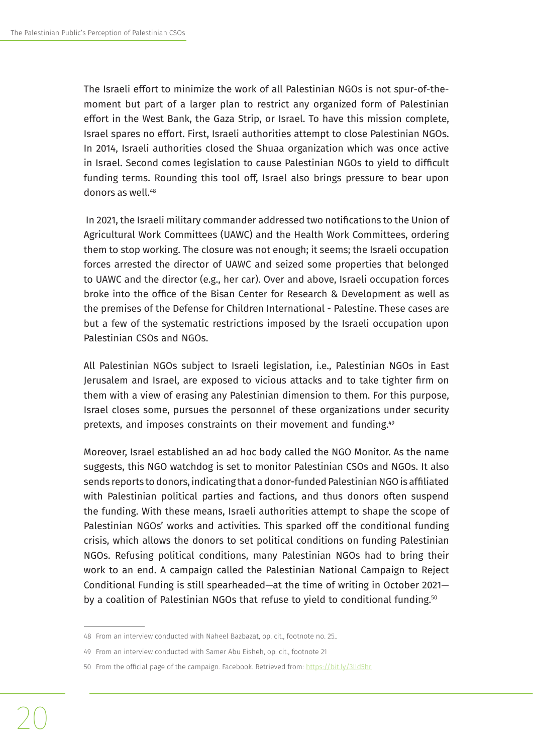The Israeli effort to minimize the work of all Palestinian NGOs is not spur-of-themoment but part of a larger plan to restrict any organized form of Palestinian effort in the West Bank, the Gaza Strip, or Israel. To have this mission complete, Israel spares no effort. First, Israeli authorities attempt to close Palestinian NGOs. In 2014, Israeli authorities closed the Shuaa organization which was once active in Israel. Second comes legislation to cause Palestinian NGOs to yield to difficult funding terms. Rounding this tool off, Israel also brings pressure to bear upon donors as well.<sup>48</sup>

 In 2021, the Israeli military commander addressed two notifications to the Union of Agricultural Work Committees (UAWC) and the Health Work Committees, ordering them to stop working. The closure was not enough; it seems; the Israeli occupation forces arrested the director of UAWC and seized some properties that belonged to UAWC and the director (e.g., her car). Over and above, Israeli occupation forces broke into the office of the Bisan Center for Research & Development as well as the premises of the Defense for Children International - Palestine. These cases are but a few of the systematic restrictions imposed by the Israeli occupation upon Palestinian CSOs and NGOs.

All Palestinian NGOs subject to Israeli legislation, i.e., Palestinian NGOs in East Jerusalem and Israel, are exposed to vicious attacks and to take tighter firm on them with a view of erasing any Palestinian dimension to them. For this purpose, Israel closes some, pursues the personnel of these organizations under security pretexts, and imposes constraints on their movement and funding.<sup>49</sup>

Moreover, Israel established an ad hoc body called the NGO Monitor. As the name suggests, this NGO watchdog is set to monitor Palestinian CSOs and NGOs. It also sends reports to donors, indicating that a donor-funded Palestinian NGO is affiliated with Palestinian political parties and factions, and thus donors often suspend the funding. With these means, Israeli authorities attempt to shape the scope of Palestinian NGOs' works and activities. This sparked off the conditional funding crisis, which allows the donors to set political conditions on funding Palestinian NGOs. Refusing political conditions, many Palestinian NGOs had to bring their work to an end. A campaign called the Palestinian National Campaign to Reject Conditional Funding is still spearheaded—at the time of writing in October 2021 by a coalition of Palestinian NGOs that refuse to yield to conditional funding.<sup>50</sup>

<sup>48</sup> From an interview conducted with Naheel Bazbazat, op. cit., footnote no. 25..

<sup>49</sup> From an interview conducted with Samer Abu Eisheh, op. cit., footnote 21

<sup>50</sup> From the official page of the campaign. Facebook. Retrieved from: <https://bit.ly/3lId5hr>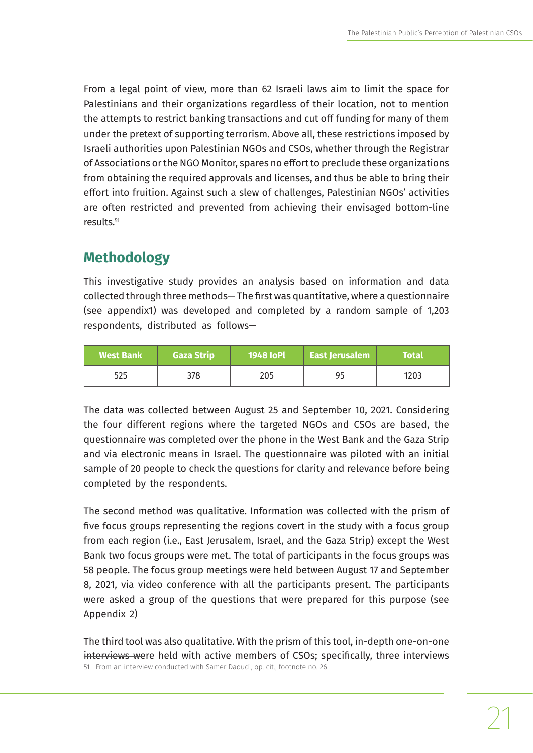From a legal point of view, more than 62 Israeli laws aim to limit the space for Palestinians and their organizations regardless of their location, not to mention the attempts to restrict banking transactions and cut off funding for many of them under the pretext of supporting terrorism. Above all, these restrictions imposed by Israeli authorities upon Palestinian NGOs and CSOs, whether through the Registrar of Associations or the NGO Monitor, spares no effort to preclude these organizations from obtaining the required approvals and licenses, and thus be able to bring their effort into fruition. Against such a slew of challenges, Palestinian NGOs' activities are often restricted and prevented from achieving their envisaged bottom-line results.51

# **Methodology**

This investigative study provides an analysis based on information and data collected through three methods— The first was quantitative, where a questionnaire (see appendix1) was developed and completed by a random sample of 1,203 respondents, distributed as follows—

| West Bank <b>\</b> | <b>Gaza Strip</b> | 1948 IoPl | East Jerusalem | Total |
|--------------------|-------------------|-----------|----------------|-------|
| 525                | 378               | 205       | 95             | 1203  |

The data was collected between August 25 and September 10, 2021. Considering the four different regions where the targeted NGOs and CSOs are based, the questionnaire was completed over the phone in the West Bank and the Gaza Strip and via electronic means in Israel. The questionnaire was piloted with an initial sample of 20 people to check the questions for clarity and relevance before being completed by the respondents.

The second method was qualitative. Information was collected with the prism of five focus groups representing the regions covert in the study with a focus group from each region (i.e., East Jerusalem, Israel, and the Gaza Strip) except the West Bank two focus groups were met. The total of participants in the focus groups was 58 people. The focus group meetings were held between August 17 and September 8, 2021, via video conference with all the participants present. The participants were asked a group of the questions that were prepared for this purpose (see Appendix 2)

The third tool was also qualitative. With the prism of this tool, in-depth one-on-one interviews were held with active members of CSOs; specifically, three interviews 51 From an interview conducted with Samer Daoudi, op. cit., footnote no. 26.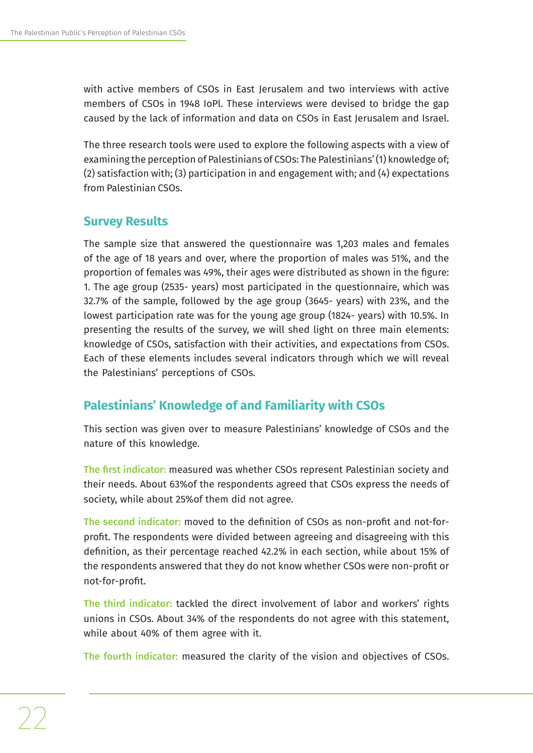with active members of CSOs in East Jerusalem and two interviews with active members of CSOs in 1948 IoPl. These interviews were devised to bridge the gap caused by the lack of information and data on CSOs in East Jerusalem and Israel.

The three research tools were used to explore the following aspects with a view of examining the perception of Palestinians of CSOs: The Palestinians' (1) knowledge of; (2) satisfaction with; (3) participation in and engagement with; and (4) expectations from Palestinian CSOs.

### **Survey Results**

The sample size that answered the questionnaire was 1,203 males and females of the age of 18 years and over, where the proportion of males was 51%, and the proportion of females was 49%, their ages were distributed as shown in the figure: 1. The age group (2535- years) most participated in the questionnaire, which was 32.7% of the sample, followed by the age group (3645- years) with 23%, and the lowest participation rate was for the young age group (1824- years) with 10.5%. In presenting the results of the survey, we will shed light on three main elements: knowledge of CSOs, satisfaction with their activities, and expectations from CSOs. Each of these elements includes several indicators through which we will reveal the Palestinians' perceptions of CSOs.

## **Palestinians' Knowledge of and Familiarity with CSOs**

This section was given over to measure Palestinians' knowledge of CSOs and the nature of this knowledge.

The first indicator: measured was whether CSOs represent Palestinian society and their needs. About 63%of the respondents agreed that CSOs express the needs of society, while about 25%of them did not agree.

The second indicator: moved to the definition of CSOs as non-profit and not-forprofit. The respondents were divided between agreeing and disagreeing with this definition, as their percentage reached 42.2% in each section, while about 15% of the respondents answered that they do not know whether CSOs were non-profit or not-for-profit.

The third indicator: tackled the direct involvement of labor and workers' rights unions in CSOs. About 34% of the respondents do not agree with this statement, while about 40% of them agree with it.

The fourth indicator: measured the clarity of the vision and objectives of CSOs.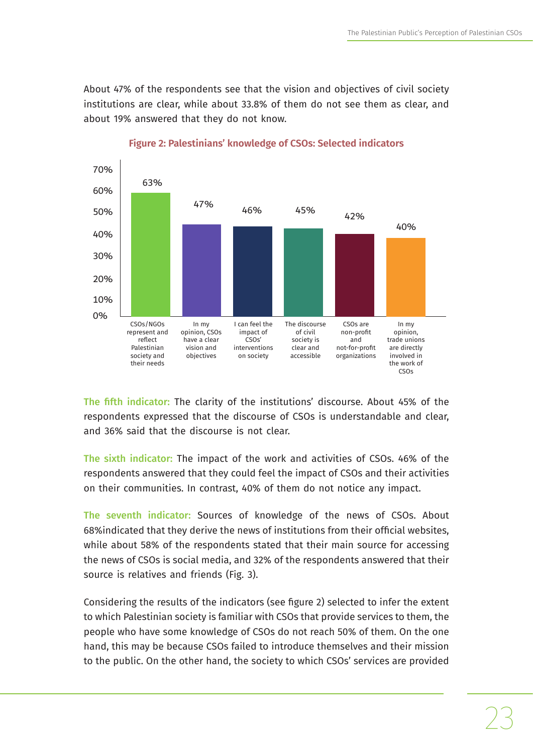About 47% of the respondents see that the vision and objectives of civil society institutions are clear, while about 33.8% of them do not see them as clear, and about 19% answered that they do not know.



#### **Figure 2: Palestinians' knowledge of CSOs: Selected indicators**

The fifth indicator: The clarity of the institutions' discourse. About 45% of the respondents expressed that the discourse of CSOs is understandable and clear, and 36% said that the discourse is not clear.

The sixth indicator: The impact of the work and activities of CSOs. 46% of the respondents answered that they could feel the impact of CSOs and their activities on their communities. In contrast, 40% of them do not notice any impact.

The seventh indicator: Sources of knowledge of the news of CSOs. About 68%indicated that they derive the news of institutions from their official websites, while about 58% of the respondents stated that their main source for accessing the news of CSOs is social media, and 32% of the respondents answered that their source is relatives and friends (Fig. 3).

Considering the results of the indicators (see figure 2) selected to infer the extent to which Palestinian society is familiar with CSOs that provide services to them, the people who have some knowledge of CSOs do not reach 50% of them. On the one hand, this may be because CSOs failed to introduce themselves and their mission to the public. On the other hand, the society to which CSOs' services are provided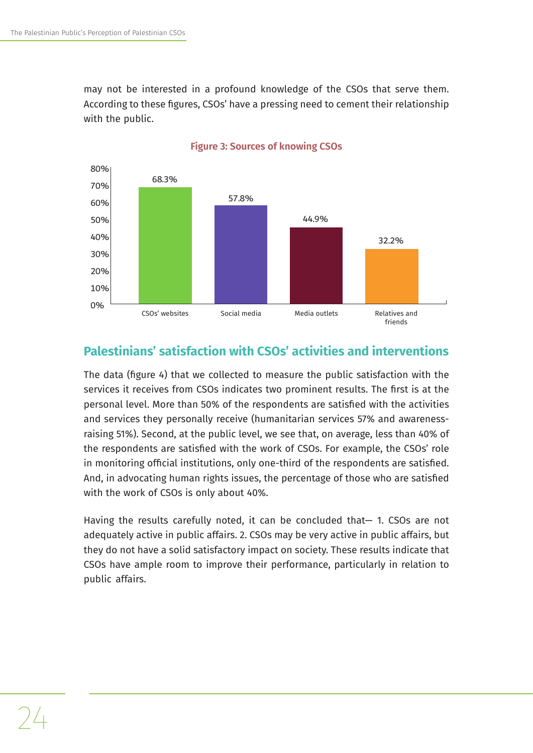may not be interested in a profound knowledge of the CSOs that serve them. According to these figures, CSOs' have a pressing need to cement their relationship with the public.



**Figure 3: Sources of knowing CSOs**

### **Palestinians' satisfaction with CSOs' activities and interventions**

The data (figure 4) that we collected to measure the public satisfaction with the services it receives from CSOs indicates two prominent results. The first is at the personal level. More than 50% of the respondents are satisfied with the activities and services they personally receive (humanitarian services 57% and awarenessraising 51%). Second, at the public level, we see that, on average, less than 40% of the respondents are satisfied with the work of CSOs. For example, the CSOs' role in monitoring official institutions, only one-third of the respondents are satisfied. And, in advocating human rights issues, the percentage of those who are satisfied with the work of CSOs is only about 40%.

Having the results carefully noted, it can be concluded that— 1. CSOs are not adequately active in public affairs. 2. CSOs may be very active in public affairs, but they do not have a solid satisfactory impact on society. These results indicate that CSOs have ample room to improve their performance, particularly in relation to public affairs.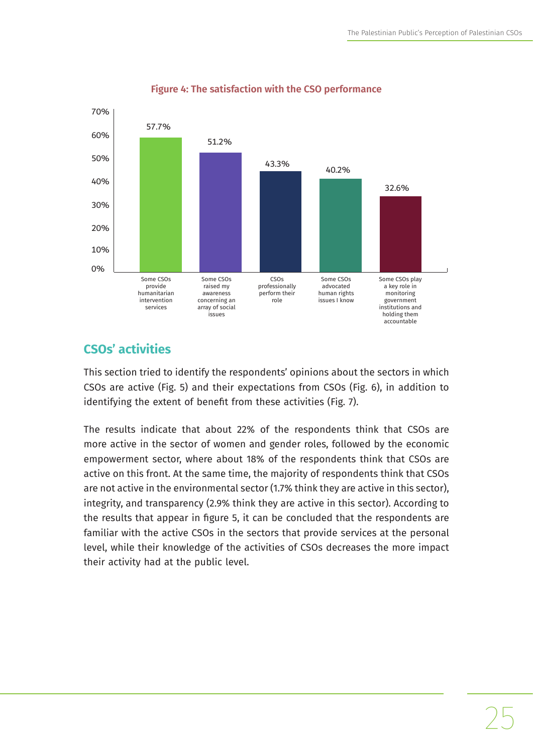

#### **Figure 4: The satisfaction with the CSO performance**

# **CSOs' activities**

This section tried to identify the respondents' opinions about the sectors in which CSOs are active (Fig. 5) and their expectations from CSOs (Fig. 6), in addition to identifying the extent of benefit from these activities (Fig. 7).

The results indicate that about 22% of the respondents think that CSOs are more active in the sector of women and gender roles, followed by the economic empowerment sector, where about 18% of the respondents think that CSOs are active on this front. At the same time, the majority of respondents think that CSOs are not active in the environmental sector (1.7% think they are active in this sector), integrity, and transparency (2.9% think they are active in this sector). According to the results that appear in figure 5, it can be concluded that the respondents are familiar with the active CSOs in the sectors that provide services at the personal level, while their knowledge of the activities of CSOs decreases the more impact their activity had at the public level.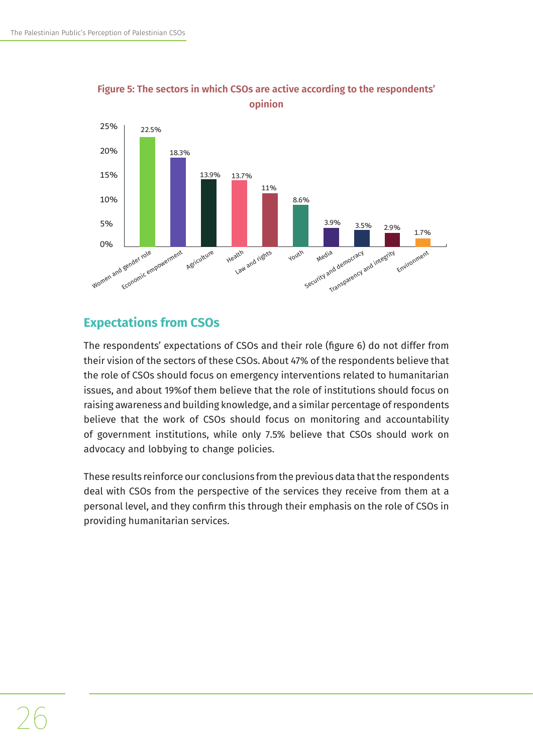

**Figure 5: The sectors in which CSOs are active according to the respondents' opinion**

# **Expectations from CSOs**

The respondents' expectations of CSOs and their role (figure 6) do not differ from their vision of the sectors of these CSOs. About 47% of the respondents believe that the role of CSOs should focus on emergency interventions related to humanitarian issues, and about 19%of them believe that the role of institutions should focus on raising awareness and building knowledge, and a similar percentage of respondents believe that the work of CSOs should focus on monitoring and accountability of government institutions, while only 7.5% believe that CSOs should work on advocacy and lobbying to change policies.

These results reinforce our conclusions from the previous data that the respondents deal with CSOs from the perspective of the services they receive from them at a personal level, and they confirm this through their emphasis on the role of CSOs in providing humanitarian services.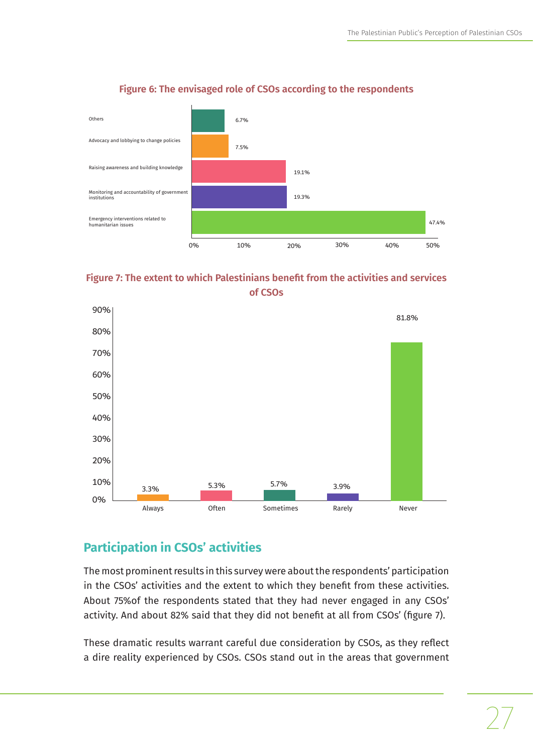

#### **Figure 6: The envisaged role of CSOs according to the respondents**





# **Participation in CSOs' activities**

The most prominent results in this survey were about the respondents' participation in the CSOs' activities and the extent to which they benefit from these activities. About 75%of the respondents stated that they had never engaged in any CSOs' activity. And about 82% said that they did not benefit at all from CSOs' (figure 7).

These dramatic results warrant careful due consideration by CSOs, as they reflect a dire reality experienced by CSOs. CSOs stand out in the areas that government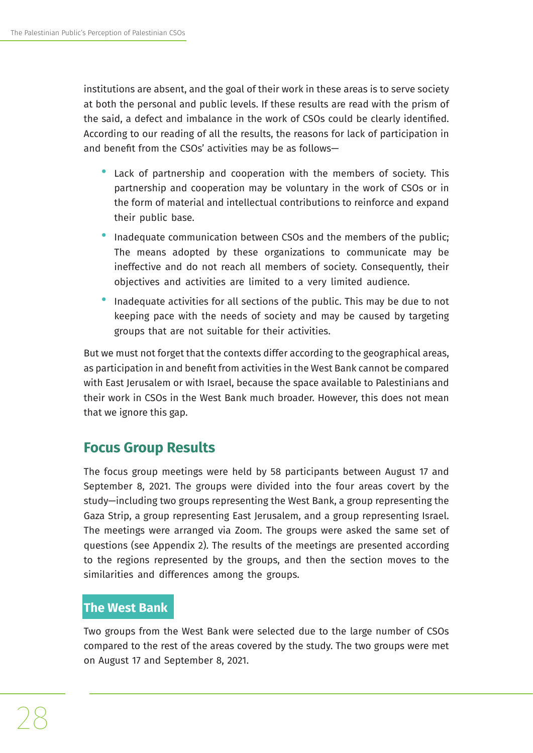institutions are absent, and the goal of their work in these areas is to serve society at both the personal and public levels. If these results are read with the prism of the said, a defect and imbalance in the work of CSOs could be clearly identified. According to our reading of all the results, the reasons for lack of participation in and benefit from the CSOs' activities may be as follows—

- Lack of partnership and cooperation with the members of society. This partnership and cooperation may be voluntary in the work of CSOs or in the form of material and intellectual contributions to reinforce and expand their public base.
- Inadequate communication between CSOs and the members of the public; The means adopted by these organizations to communicate may be ineffective and do not reach all members of society. Consequently, their objectives and activities are limited to a very limited audience.
- Inadequate activities for all sections of the public. This may be due to not keeping pace with the needs of society and may be caused by targeting groups that are not suitable for their activities.

But we must not forget that the contexts differ according to the geographical areas, as participation in and benefit from activities in the West Bank cannot be compared with East Jerusalem or with Israel, because the space available to Palestinians and their work in CSOs in the West Bank much broader. However, this does not mean that we ignore this gap.

# **Focus Group Results**

The focus group meetings were held by 58 participants between August 17 and September 8, 2021. The groups were divided into the four areas covert by the study—including two groups representing the West Bank, a group representing the Gaza Strip, a group representing East Jerusalem, and a group representing Israel. The meetings were arranged via Zoom. The groups were asked the same set of questions (see Appendix 2). The results of the meetings are presented according to the regions represented by the groups, and then the section moves to the similarities and differences among the groups.

## **The West Bank**

Two groups from the West Bank were selected due to the large number of CSOs compared to the rest of the areas covered by the study. The two groups were met on August 17 and September 8, 2021.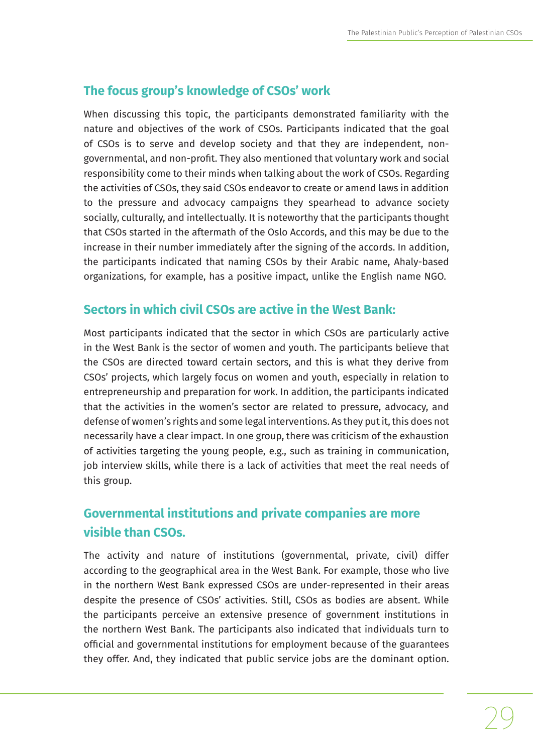## **The focus group's knowledge of CSOs' work**

When discussing this topic, the participants demonstrated familiarity with the nature and objectives of the work of CSOs. Participants indicated that the goal of CSOs is to serve and develop society and that they are independent, nongovernmental, and non-profit. They also mentioned that voluntary work and social responsibility come to their minds when talking about the work of CSOs. Regarding the activities of CSOs, they said CSOs endeavor to create or amend laws in addition to the pressure and advocacy campaigns they spearhead to advance society socially, culturally, and intellectually. It is noteworthy that the participants thought that CSOs started in the aftermath of the Oslo Accords, and this may be due to the increase in their number immediately after the signing of the accords. In addition, the participants indicated that naming CSOs by their Arabic name, Ahaly-based organizations, for example, has a positive impact, unlike the English name NGO.

## **Sectors in which civil CSOs are active in the West Bank:**

Most participants indicated that the sector in which CSOs are particularly active in the West Bank is the sector of women and youth. The participants believe that the CSOs are directed toward certain sectors, and this is what they derive from CSOs' projects, which largely focus on women and youth, especially in relation to entrepreneurship and preparation for work. In addition, the participants indicated that the activities in the women's sector are related to pressure, advocacy, and defense of women's rights and some legal interventions. As they put it, this does not necessarily have a clear impact. In one group, there was criticism of the exhaustion of activities targeting the young people, e.g., such as training in communication, job interview skills, while there is a lack of activities that meet the real needs of this group.

# **Governmental institutions and private companies are more visible than CSOs.**

The activity and nature of institutions (governmental, private, civil) differ according to the geographical area in the West Bank. For example, those who live in the northern West Bank expressed CSOs are under-represented in their areas despite the presence of CSOs' activities. Still, CSOs as bodies are absent. While the participants perceive an extensive presence of government institutions in the northern West Bank. The participants also indicated that individuals turn to official and governmental institutions for employment because of the guarantees they offer. And, they indicated that public service jobs are the dominant option.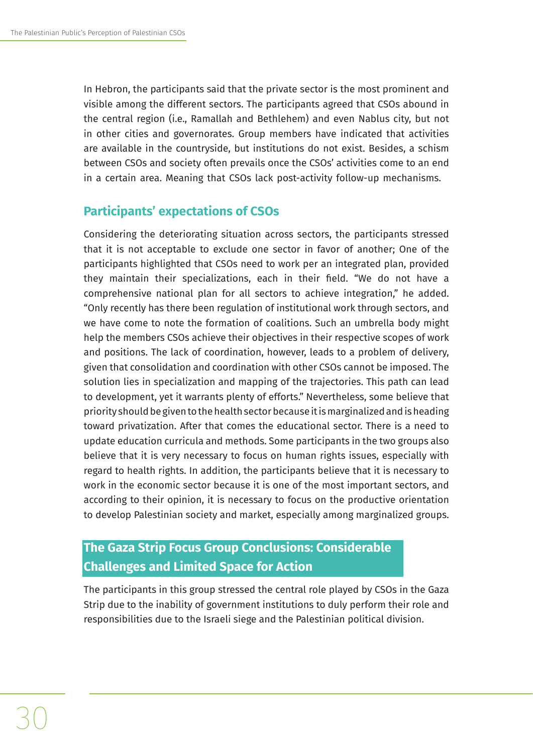In Hebron, the participants said that the private sector is the most prominent and visible among the different sectors. The participants agreed that CSOs abound in the central region (i.e., Ramallah and Bethlehem) and even Nablus city, but not in other cities and governorates. Group members have indicated that activities are available in the countryside, but institutions do not exist. Besides, a schism between CSOs and society often prevails once the CSOs' activities come to an end in a certain area. Meaning that CSOs lack post-activity follow-up mechanisms.

### **Participants' expectations of CSOs**

Considering the deteriorating situation across sectors, the participants stressed that it is not acceptable to exclude one sector in favor of another; One of the participants highlighted that CSOs need to work per an integrated plan, provided they maintain their specializations, each in their field. "We do not have a comprehensive national plan for all sectors to achieve integration," he added. "Only recently has there been regulation of institutional work through sectors, and we have come to note the formation of coalitions. Such an umbrella body might help the members CSOs achieve their objectives in their respective scopes of work and positions. The lack of coordination, however, leads to a problem of delivery, given that consolidation and coordination with other CSOs cannot be imposed. The solution lies in specialization and mapping of the trajectories. This path can lead to development, yet it warrants plenty of efforts." Nevertheless, some believe that priority should be given to the health sector because it is marginalized and is heading toward privatization. After that comes the educational sector. There is a need to update education curricula and methods. Some participants in the two groups also believe that it is very necessary to focus on human rights issues, especially with regard to health rights. In addition, the participants believe that it is necessary to work in the economic sector because it is one of the most important sectors, and according to their opinion, it is necessary to focus on the productive orientation to develop Palestinian society and market, especially among marginalized groups.

# **The Gaza Strip Focus Group Conclusions: Considerable Challenges and Limited Space for Action**

The participants in this group stressed the central role played by CSOs in the Gaza Strip due to the inability of government institutions to duly perform their role and responsibilities due to the Israeli siege and the Palestinian political division.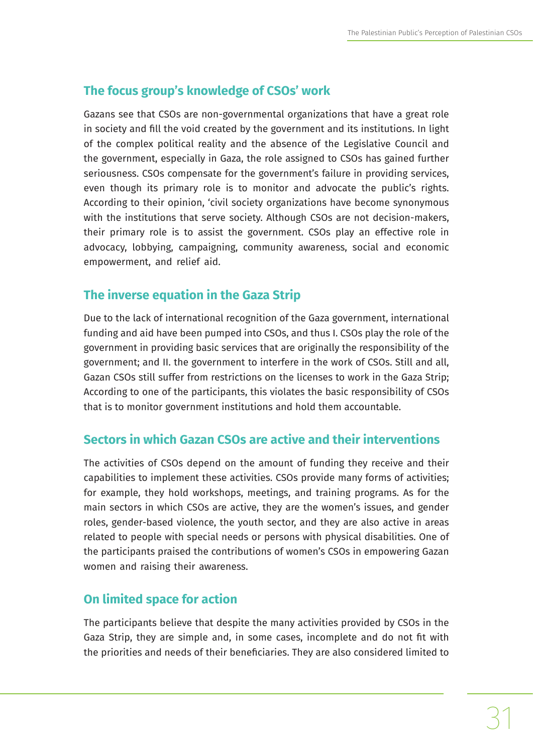## **The focus group's knowledge of CSOs' work**

Gazans see that CSOs are non-governmental organizations that have a great role in society and fill the void created by the government and its institutions. In light of the complex political reality and the absence of the Legislative Council and the government, especially in Gaza, the role assigned to CSOs has gained further seriousness. CSOs compensate for the government's failure in providing services, even though its primary role is to monitor and advocate the public's rights. According to their opinion, 'civil society organizations have become synonymous with the institutions that serve society. Although CSOs are not decision-makers, their primary role is to assist the government. CSOs play an effective role in advocacy, lobbying, campaigning, community awareness, social and economic empowerment, and relief aid.

### **The inverse equation in the Gaza Strip**

Due to the lack of international recognition of the Gaza government, international funding and aid have been pumped into CSOs, and thus I. CSOs play the role of the government in providing basic services that are originally the responsibility of the government; and II. the government to interfere in the work of CSOs. Still and all, Gazan CSOs still suffer from restrictions on the licenses to work in the Gaza Strip; According to one of the participants, this violates the basic responsibility of CSOs that is to monitor government institutions and hold them accountable.

#### **Sectors in which Gazan CSOs are active and their interventions**

The activities of CSOs depend on the amount of funding they receive and their capabilities to implement these activities. CSOs provide many forms of activities; for example, they hold workshops, meetings, and training programs. As for the main sectors in which CSOs are active, they are the women's issues, and gender roles, gender-based violence, the youth sector, and they are also active in areas related to people with special needs or persons with physical disabilities. One of the participants praised the contributions of women's CSOs in empowering Gazan women and raising their awareness.

#### **On limited space for action**

The participants believe that despite the many activities provided by CSOs in the Gaza Strip, they are simple and, in some cases, incomplete and do not fit with the priorities and needs of their beneficiaries. They are also considered limited to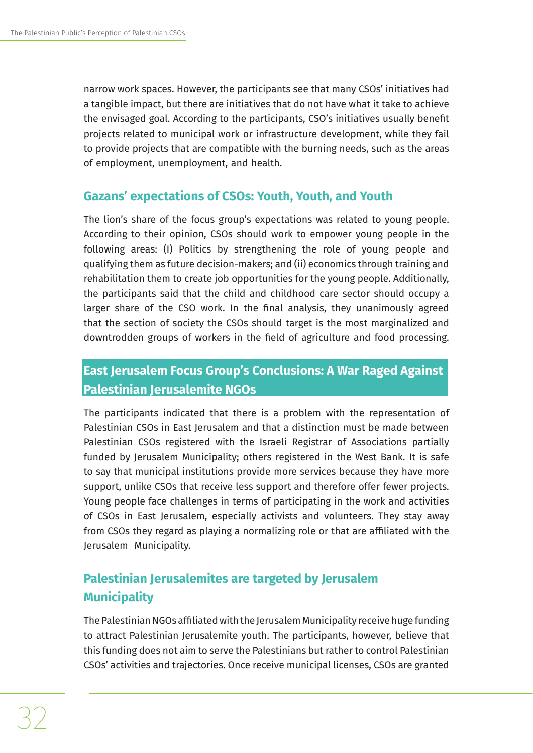narrow work spaces. However, the participants see that many CSOs' initiatives had a tangible impact, but there are initiatives that do not have what it take to achieve the envisaged goal. According to the participants, CSO's initiatives usually benefit projects related to municipal work or infrastructure development, while they fail to provide projects that are compatible with the burning needs, such as the areas of employment, unemployment, and health.

## **Gazans' expectations of CSOs: Youth, Youth, and Youth**

The lion's share of the focus group's expectations was related to young people. According to their opinion, CSOs should work to empower young people in the following areas: (I) Politics by strengthening the role of young people and qualifying them as future decision-makers; and (ii) economics through training and rehabilitation them to create job opportunities for the young people. Additionally, the participants said that the child and childhood care sector should occupy a larger share of the CSO work. In the final analysis, they unanimously agreed that the section of society the CSOs should target is the most marginalized and downtrodden groups of workers in the field of agriculture and food processing.

# **East Jerusalem Focus Group's Conclusions: A War Raged Against Palestinian Jerusalemite NGOs**

The participants indicated that there is a problem with the representation of Palestinian CSOs in East Jerusalem and that a distinction must be made between Palestinian CSOs registered with the Israeli Registrar of Associations partially funded by Jerusalem Municipality; others registered in the West Bank. It is safe to say that municipal institutions provide more services because they have more support, unlike CSOs that receive less support and therefore offer fewer projects. Young people face challenges in terms of participating in the work and activities of CSOs in East Jerusalem, especially activists and volunteers. They stay away from CSOs they regard as playing a normalizing role or that are affiliated with the Jerusalem Municipality.

# **Palestinian Jerusalemites are targeted by Jerusalem Municipality**

The Palestinian NGOs affiliated with the Jerusalem Municipality receive huge funding to attract Palestinian Jerusalemite youth. The participants, however, believe that this funding does not aim to serve the Palestinians but rather to control Palestinian CSOs' activities and trajectories. Once receive municipal licenses, CSOs are granted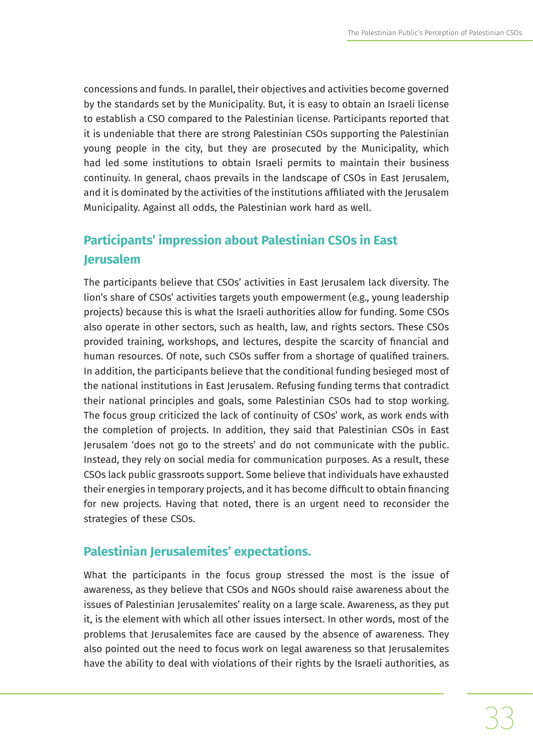concessions and funds. In parallel, their objectives and activities become governed by the standards set by the Municipality. But, it is easy to obtain an Israeli license to establish a CSO compared to the Palestinian license. Participants reported that it is undeniable that there are strong Palestinian CSOs supporting the Palestinian young people in the city, but they are prosecuted by the Municipality, which had led some institutions to obtain Israeli permits to maintain their business continuity. In general, chaos prevails in the landscape of CSOs in East Jerusalem, and it is dominated by the activities of the institutions affiliated with the Jerusalem Municipality. Against all odds, the Palestinian work hard as well.

# **Participants' impression about Palestinian CSOs in East Jerusalem**

The participants believe that CSOs' activities in East Jerusalem lack diversity. The lion's share of CSOs' activities targets youth empowerment (e.g., young leadership projects) because this is what the Israeli authorities allow for funding. Some CSOs also operate in other sectors, such as health, law, and rights sectors. These CSOs provided training, workshops, and lectures, despite the scarcity of financial and human resources. Of note, such CSOs suffer from a shortage of qualified trainers. In addition, the participants believe that the conditional funding besieged most of the national institutions in East Jerusalem. Refusing funding terms that contradict their national principles and goals, some Palestinian CSOs had to stop working. The focus group criticized the lack of continuity of CSOs' work, as work ends with the completion of projects. In addition, they said that Palestinian CSOs in East Jerusalem 'does not go to the streets' and do not communicate with the public. Instead, they rely on social media for communication purposes. As a result, these CSOs lack public grassroots support. Some believe that individuals have exhausted their energies in temporary projects, and it has become difficult to obtain financing for new projects. Having that noted, there is an urgent need to reconsider the strategies of these CSOs.

## **Palestinian Jerusalemites' expectations.**

What the participants in the focus group stressed the most is the issue of awareness, as they believe that CSOs and NGOs should raise awareness about the issues of Palestinian Jerusalemites' reality on a large scale. Awareness, as they put it, is the element with which all other issues intersect. In other words, most of the problems that Jerusalemites face are caused by the absence of awareness. They also pointed out the need to focus work on legal awareness so that Jerusalemites have the ability to deal with violations of their rights by the Israeli authorities, as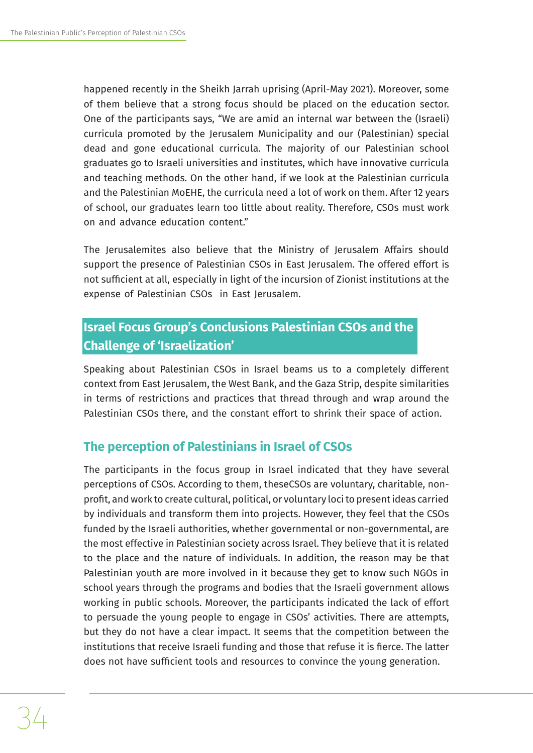happened recently in the Sheikh Jarrah uprising (April-May 2021). Moreover, some of them believe that a strong focus should be placed on the education sector. One of the participants says, "We are amid an internal war between the (Israeli) curricula promoted by the Jerusalem Municipality and our (Palestinian) special dead and gone educational curricula. The majority of our Palestinian school graduates go to Israeli universities and institutes, which have innovative curricula and teaching methods. On the other hand, if we look at the Palestinian curricula and the Palestinian MoEHE, the curricula need a lot of work on them. After 12 years of school, our graduates learn too little about reality. Therefore, CSOs must work on and advance education content."

The Jerusalemites also believe that the Ministry of Jerusalem Affairs should support the presence of Palestinian CSOs in East Jerusalem. The offered effort is not sufficient at all, especially in light of the incursion of Zionist institutions at the expense of Palestinian CSOs in East Jerusalem.

# **Israel Focus Group's Conclusions Palestinian CSOs and the Challenge of 'Israelization'**

Speaking about Palestinian CSOs in Israel beams us to a completely different context from East Jerusalem, the West Bank, and the Gaza Strip, despite similarities in terms of restrictions and practices that thread through and wrap around the Palestinian CSOs there, and the constant effort to shrink their space of action.

# **The perception of Palestinians in Israel of CSOs**

The participants in the focus group in Israel indicated that they have several perceptions of CSOs. According to them, theseCSOs are voluntary, charitable, nonprofit, and work to create cultural, political, or voluntary loci to present ideas carried by individuals and transform them into projects. However, they feel that the CSOs funded by the Israeli authorities, whether governmental or non-governmental, are the most effective in Palestinian society across Israel. They believe that it is related to the place and the nature of individuals. In addition, the reason may be that Palestinian youth are more involved in it because they get to know such NGOs in school years through the programs and bodies that the Israeli government allows working in public schools. Moreover, the participants indicated the lack of effort to persuade the young people to engage in CSOs' activities. There are attempts, but they do not have a clear impact. It seems that the competition between the institutions that receive Israeli funding and those that refuse it is fierce. The latter does not have sufficient tools and resources to convince the young generation.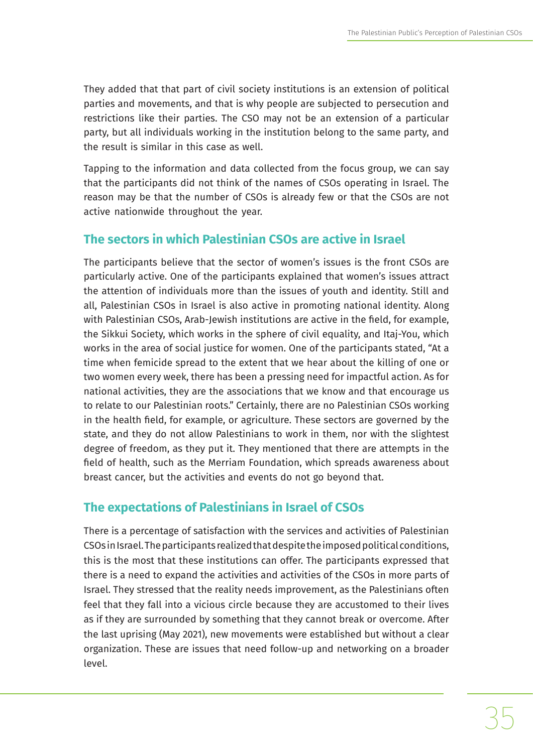They added that that part of civil society institutions is an extension of political parties and movements, and that is why people are subjected to persecution and restrictions like their parties. The CSO may not be an extension of a particular party, but all individuals working in the institution belong to the same party, and the result is similar in this case as well.

Tapping to the information and data collected from the focus group, we can say that the participants did not think of the names of CSOs operating in Israel. The reason may be that the number of CSOs is already few or that the CSOs are not active nationwide throughout the year.

# **The sectors in which Palestinian CSOs are active in Israel**

The participants believe that the sector of women's issues is the front CSOs are particularly active. One of the participants explained that women's issues attract the attention of individuals more than the issues of youth and identity. Still and all, Palestinian CSOs in Israel is also active in promoting national identity. Along with Palestinian CSOs, Arab-Jewish institutions are active in the field, for example, the Sikkui Society, which works in the sphere of civil equality, and Itaj-You, which works in the area of social justice for women. One of the participants stated, "At a time when femicide spread to the extent that we hear about the killing of one or two women every week, there has been a pressing need for impactful action. As for national activities, they are the associations that we know and that encourage us to relate to our Palestinian roots." Certainly, there are no Palestinian CSOs working in the health field, for example, or agriculture. These sectors are governed by the state, and they do not allow Palestinians to work in them, nor with the slightest degree of freedom, as they put it. They mentioned that there are attempts in the field of health, such as the Merriam Foundation, which spreads awareness about breast cancer, but the activities and events do not go beyond that.

# **The expectations of Palestinians in Israel of CSOs**

There is a percentage of satisfaction with the services and activities of Palestinian CSOs in Israel. The participants realized that despite the imposed political conditions, this is the most that these institutions can offer. The participants expressed that there is a need to expand the activities and activities of the CSOs in more parts of Israel. They stressed that the reality needs improvement, as the Palestinians often feel that they fall into a vicious circle because they are accustomed to their lives as if they are surrounded by something that they cannot break or overcome. After the last uprising (May 2021), new movements were established but without a clear organization. These are issues that need follow-up and networking on a broader level.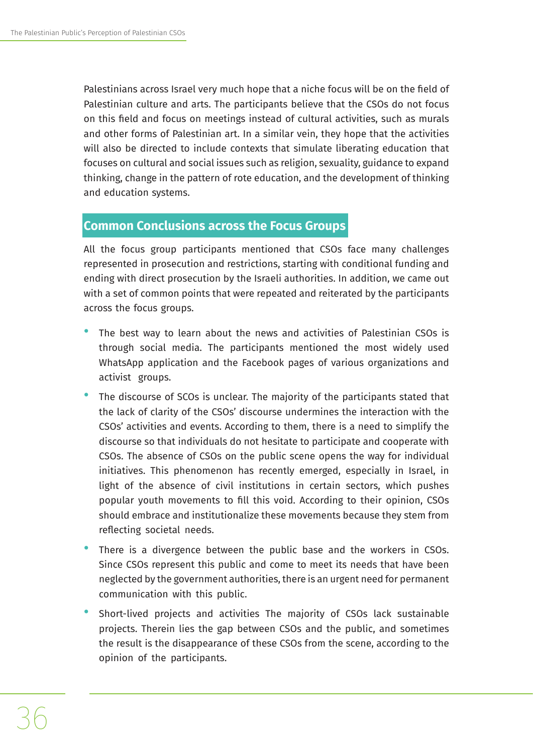Palestinians across Israel very much hope that a niche focus will be on the field of Palestinian culture and arts. The participants believe that the CSOs do not focus on this field and focus on meetings instead of cultural activities, such as murals and other forms of Palestinian art. In a similar vein, they hope that the activities will also be directed to include contexts that simulate liberating education that focuses on cultural and social issues such as religion, sexuality, guidance to expand thinking, change in the pattern of rote education, and the development of thinking and education systems.

#### **Common Conclusions across the Focus Groups**

All the focus group participants mentioned that CSOs face many challenges represented in prosecution and restrictions, starting with conditional funding and ending with direct prosecution by the Israeli authorities. In addition, we came out with a set of common points that were repeated and reiterated by the participants across the focus groups.

- The best way to learn about the news and activities of Palestinian CSOs is through social media. The participants mentioned the most widely used WhatsApp application and the Facebook pages of various organizations and activist groups.
- The discourse of SCOs is unclear. The majority of the participants stated that the lack of clarity of the CSOs' discourse undermines the interaction with the CSOs' activities and events. According to them, there is a need to simplify the discourse so that individuals do not hesitate to participate and cooperate with CSOs. The absence of CSOs on the public scene opens the way for individual initiatives. This phenomenon has recently emerged, especially in Israel, in light of the absence of civil institutions in certain sectors, which pushes popular youth movements to fill this void. According to their opinion, CSOs should embrace and institutionalize these movements because they stem from reflecting societal needs.
- There is a divergence between the public base and the workers in CSOs. Since CSOs represent this public and come to meet its needs that have been neglected by the government authorities, there is an urgent need for permanent communication with this public.
- Short-lived projects and activities The majority of CSOs lack sustainable projects. Therein lies the gap between CSOs and the public, and sometimes the result is the disappearance of these CSOs from the scene, according to the opinion of the participants.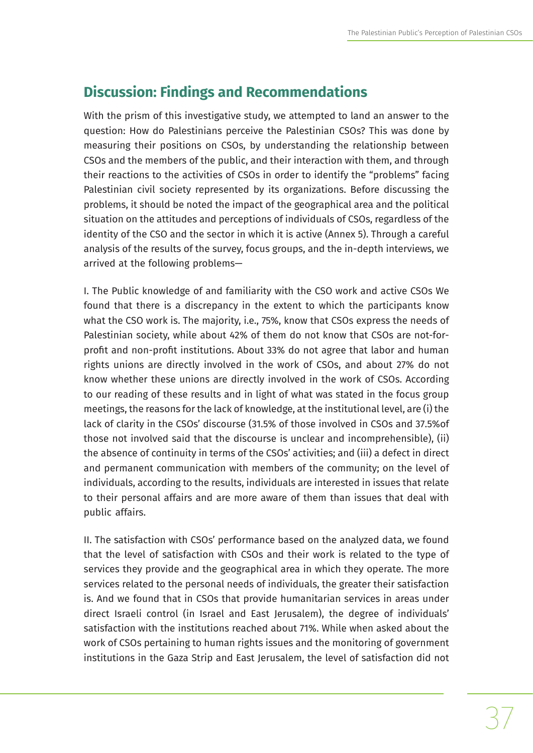# **Discussion: Findings and Recommendations**

With the prism of this investigative study, we attempted to land an answer to the question: How do Palestinians perceive the Palestinian CSOs? This was done by measuring their positions on CSOs, by understanding the relationship between CSOs and the members of the public, and their interaction with them, and through their reactions to the activities of CSOs in order to identify the "problems" facing Palestinian civil society represented by its organizations. Before discussing the problems, it should be noted the impact of the geographical area and the political situation on the attitudes and perceptions of individuals of CSOs, regardless of the identity of the CSO and the sector in which it is active (Annex 5). Through a careful analysis of the results of the survey, focus groups, and the in-depth interviews, we arrived at the following problems—

I. The Public knowledge of and familiarity with the CSO work and active CSOs We found that there is a discrepancy in the extent to which the participants know what the CSO work is. The majority, i.e., 75%, know that CSOs express the needs of Palestinian society, while about 42% of them do not know that CSOs are not-forprofit and non-profit institutions. About 33% do not agree that labor and human rights unions are directly involved in the work of CSOs, and about 27% do not know whether these unions are directly involved in the work of CSOs. According to our reading of these results and in light of what was stated in the focus group meetings, the reasons for the lack of knowledge, at the institutional level, are (i) the lack of clarity in the CSOs' discourse (31.5% of those involved in CSOs and 37.5%of those not involved said that the discourse is unclear and incomprehensible), (ii) the absence of continuity in terms of the CSOs' activities; and (iii) a defect in direct and permanent communication with members of the community; on the level of individuals, according to the results, individuals are interested in issues that relate to their personal affairs and are more aware of them than issues that deal with public affairs.

II. The satisfaction with CSOs' performance based on the analyzed data, we found that the level of satisfaction with CSOs and their work is related to the type of services they provide and the geographical area in which they operate. The more services related to the personal needs of individuals, the greater their satisfaction is. And we found that in CSOs that provide humanitarian services in areas under direct Israeli control (in Israel and East Jerusalem), the degree of individuals' satisfaction with the institutions reached about 71%. While when asked about the work of CSOs pertaining to human rights issues and the monitoring of government institutions in the Gaza Strip and East Jerusalem, the level of satisfaction did not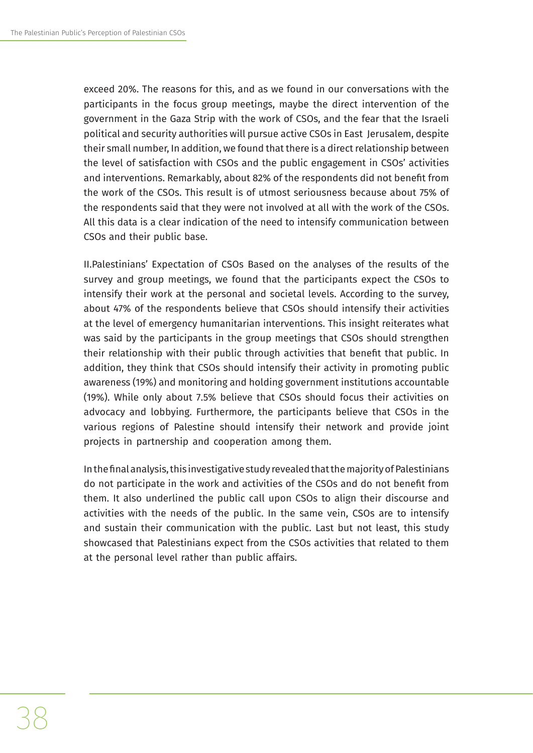exceed 20%. The reasons for this, and as we found in our conversations with the participants in the focus group meetings, maybe the direct intervention of the government in the Gaza Strip with the work of CSOs, and the fear that the Israeli political and security authorities will pursue active CSOs in East Jerusalem, despite their small number, In addition, we found that there is a direct relationship between the level of satisfaction with CSOs and the public engagement in CSOs' activities and interventions. Remarkably, about 82% of the respondents did not benefit from the work of the CSOs. This result is of utmost seriousness because about 75% of the respondents said that they were not involved at all with the work of the CSOs. All this data is a clear indication of the need to intensify communication between CSOs and their public base.

II.Palestinians' Expectation of CSOs Based on the analyses of the results of the survey and group meetings, we found that the participants expect the CSOs to intensify their work at the personal and societal levels. According to the survey, about 47% of the respondents believe that CSOs should intensify their activities at the level of emergency humanitarian interventions. This insight reiterates what was said by the participants in the group meetings that CSOs should strengthen their relationship with their public through activities that benefit that public. In addition, they think that CSOs should intensify their activity in promoting public awareness (19%) and monitoring and holding government institutions accountable (19%). While only about 7.5% believe that CSOs should focus their activities on advocacy and lobbying. Furthermore, the participants believe that CSOs in the various regions of Palestine should intensify their network and provide joint projects in partnership and cooperation among them.

In the final analysis, this investigative study revealed that the majority of Palestinians do not participate in the work and activities of the CSOs and do not benefit from them. It also underlined the public call upon CSOs to align their discourse and activities with the needs of the public. In the same vein, CSOs are to intensify and sustain their communication with the public. Last but not least, this study showcased that Palestinians expect from the CSOs activities that related to them at the personal level rather than public affairs.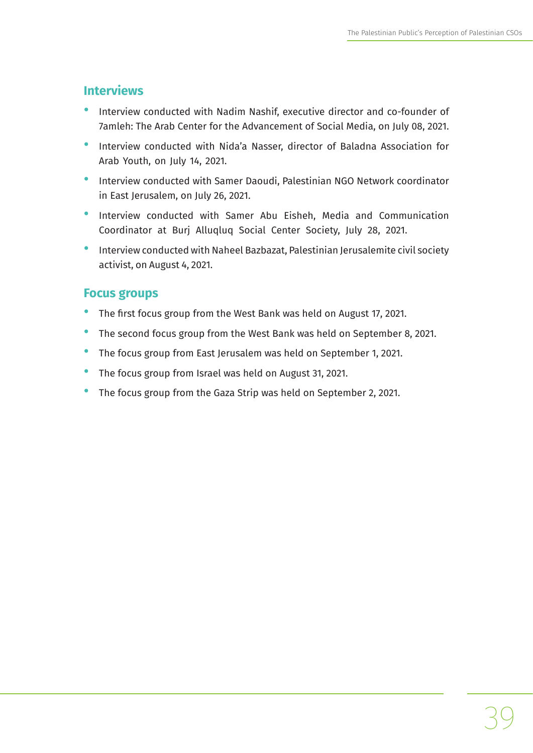### **Interviews**

- Interview conducted with Nadim Nashif, executive director and co-founder of 7amleh: The Arab Center for the Advancement of Social Media, on July 08, 2021.
- Interview conducted with Nida'a Nasser, director of Baladna Association for Arab Youth, on July 14, 2021.
- Interview conducted with Samer Daoudi, Palestinian NGO Network coordinator in East Jerusalem, on July 26, 2021.
- Interview conducted with Samer Abu Eisheh, Media and Communication Coordinator at Burj Alluqluq Social Center Society, July 28, 2021.
- Interview conducted with Naheel Bazbazat, Palestinian Jerusalemite civil society activist, on August 4, 2021.

## **Focus groups**

- The first focus group from the West Bank was held on August 17, 2021.
- The second focus group from the West Bank was held on September 8, 2021.
- The focus group from East Jerusalem was held on September 1, 2021.
- The focus group from Israel was held on August 31, 2021.
- The focus group from the Gaza Strip was held on September 2, 2021.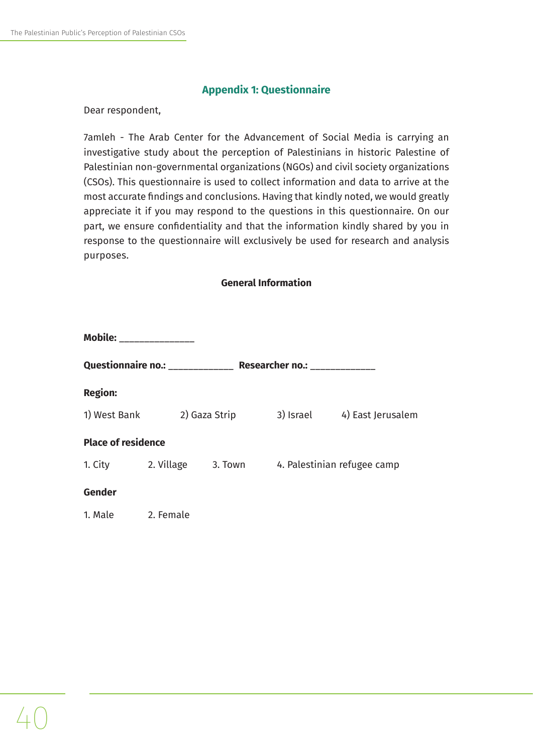#### **Appendix 1: Questionnaire**

Dear respondent,

7amleh - The Arab Center for the Advancement of Social Media is carrying an investigative study about the perception of Palestinians in historic Palestine of Palestinian non-governmental organizations (NGOs) and civil society organizations (CSOs). This questionnaire is used to collect information and data to arrive at the most accurate findings and conclusions. Having that kindly noted, we would greatly appreciate it if you may respond to the questions in this questionnaire. On our part, we ensure confidentiality and that the information kindly shared by you in response to the questionnaire will exclusively be used for research and analysis purposes.

#### **General Information**

| Mobile: _______________         |               |                               |                             |
|---------------------------------|---------------|-------------------------------|-----------------------------|
| Questionnaire no.: ____________ |               | Researcher no.: _____________ |                             |
| <b>Region:</b>                  |               |                               |                             |
| 1) West Bank                    | 2) Gaza Strip |                               | 3) Israel 4) East Jerusalem |
| <b>Place of residence</b>       |               |                               |                             |
| 1. City 2. Village 3. Town      |               | 4. Palestinian refugee camp   |                             |
| Gender                          |               |                               |                             |
| 1. Male                         | 2. Female     |                               |                             |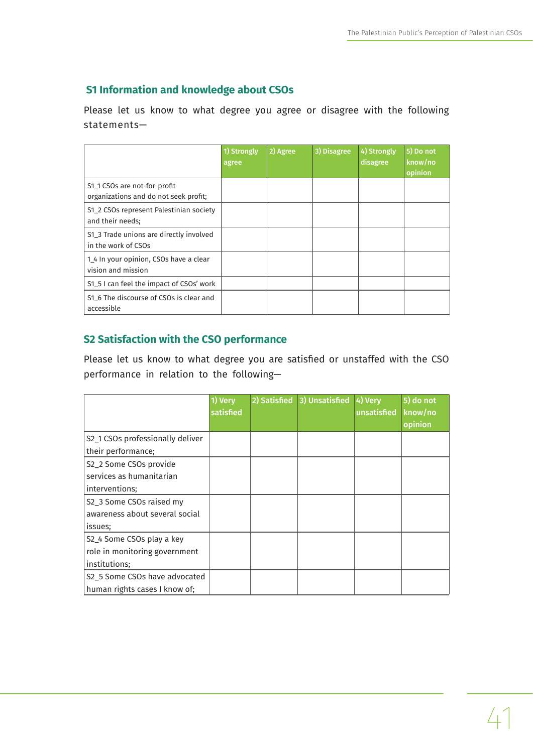#### **S1 Information and knowledge about CSOs**

Please let us know to what degree you agree or disagree with the following statements—

|                                                                       | 1) Strongly<br>agree | 2) Agree | 3) Disagree | 4) Strongly<br>disagree | 5) Do not<br>know/no<br>opinion |
|-----------------------------------------------------------------------|----------------------|----------|-------------|-------------------------|---------------------------------|
| S1_1 CSOs are not-for-profit<br>organizations and do not seek profit; |                      |          |             |                         |                                 |
| S1_2 CSOs represent Palestinian society<br>and their needs:           |                      |          |             |                         |                                 |
| S1_3 Trade unions are directly involved<br>in the work of CSOs        |                      |          |             |                         |                                 |
| 1_4 In your opinion, CSOs have a clear<br>vision and mission          |                      |          |             |                         |                                 |
| S1_5 I can feel the impact of CSOs' work                              |                      |          |             |                         |                                 |
| S1 6 The discourse of CSOs is clear and<br>accessible                 |                      |          |             |                         |                                 |

### **S2 Satisfaction with the CSO performance**

Please let us know to what degree you are satisfied or unstaffed with the CSO performance in relation to the following—

|                                                                             | 1) Very<br>satisfied | 2) Satisfied | 3) Unsatisfied | 4) Very<br>unsatisfied | 5) do not<br>know/no<br>opinion |
|-----------------------------------------------------------------------------|----------------------|--------------|----------------|------------------------|---------------------------------|
| S2_1 CSOs professionally deliver<br>their performance;                      |                      |              |                |                        |                                 |
| S2_2 Some CSOs provide<br>services as humanitarian<br>interventions:        |                      |              |                |                        |                                 |
| S2_3 Some CSOs raised my<br>awareness about several social<br>issues:       |                      |              |                |                        |                                 |
| S2_4 Some CSOs play a key<br>role in monitoring government<br>institutions; |                      |              |                |                        |                                 |
| S2_5 Some CSOs have advocated<br>human rights cases I know of:              |                      |              |                |                        |                                 |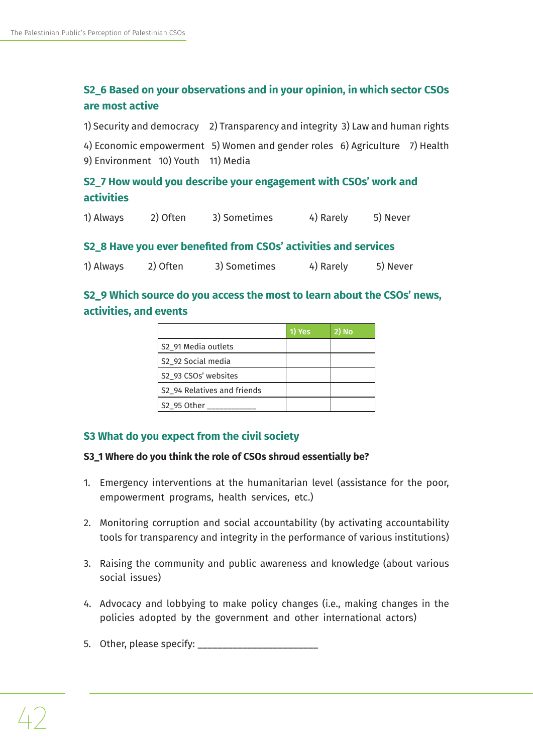## **S2\_6 Based on your observations and in your opinion, in which sector CSOs are most active**

1) Security and democracy 2) Transparency and integrity 3) Law and human rights

4) Economic empowerment 5) Women and gender roles 6) Agriculture 7) Health 9) Environment 10) Youth 11) Media

#### **S2\_7 How would you describe your engagement with CSOs' work and activities**

| 1) Always | 2) Often | 3) Sometimes | 4) Rarely | 5) Never |
|-----------|----------|--------------|-----------|----------|
|-----------|----------|--------------|-----------|----------|

#### **S2\_8 Have you ever benefited from CSOs' activities and services**

| 1) Always<br>2) Often<br>3) Sometimes<br>4) Rarely | 5) Never |
|----------------------------------------------------|----------|
|----------------------------------------------------|----------|

#### **S2\_9 Which source do you access the most to learn about the CSOs' news, activities, and events**

|                             | 1) Yes | 2) No |
|-----------------------------|--------|-------|
| S2_91 Media outlets         |        |       |
| S2_92 Social media          |        |       |
| S2_93 CSOs' websites        |        |       |
| S2_94 Relatives and friends |        |       |
| S2_95 Other                 |        |       |

#### **S3 What do you expect from the civil society**

#### **S3\_1 Where do you think the role of CSOs shroud essentially be?**

- 1. Emergency interventions at the humanitarian level (assistance for the poor, empowerment programs, health services, etc.)
- 2. Monitoring corruption and social accountability (by activating accountability tools for transparency and integrity in the performance of various institutions)
- 3. Raising the community and public awareness and knowledge (about various social issues)
- 4. Advocacy and lobbying to make policy changes (i.e., making changes in the policies adopted by the government and other international actors)
- 5. Other, please specify: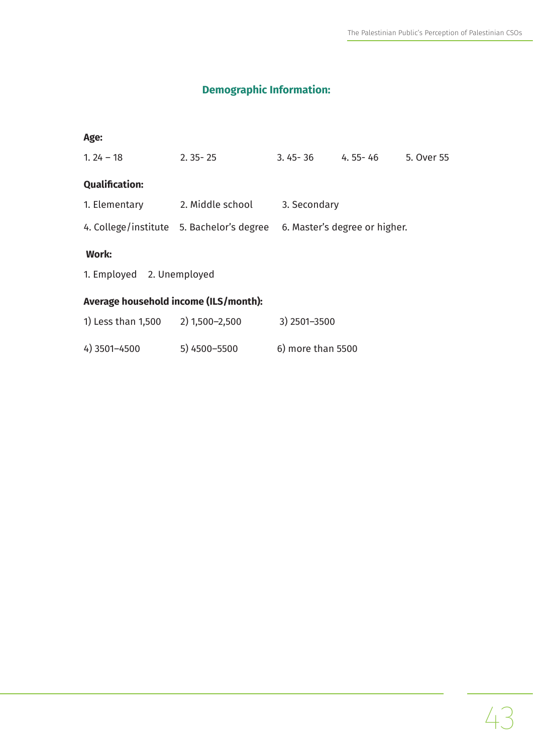# **Demographic Information:**

| $\sim$<br>v<br>×<br>×<br>v |
|----------------------------|
|----------------------------|

| $1.24 - 18$                           | $2.35 - 25$                               | $3.45 - 36$       | 4.55-46                       | 5. Over 55 |  |  |  |
|---------------------------------------|-------------------------------------------|-------------------|-------------------------------|------------|--|--|--|
| <b>Qualification:</b>                 |                                           |                   |                               |            |  |  |  |
| 1. Elementary                         | 2. Middle school                          | 3. Secondary      |                               |            |  |  |  |
|                                       | 4. College/institute 5. Bachelor's degree |                   | 6. Master's degree or higher. |            |  |  |  |
| <b>Work:</b>                          |                                           |                   |                               |            |  |  |  |
| 1. Employed 2. Unemployed             |                                           |                   |                               |            |  |  |  |
| Average household income (ILS/month): |                                           |                   |                               |            |  |  |  |
| 1) Less than 1,500                    | $2)$ 1,500-2,500                          | 3) 2501-3500      |                               |            |  |  |  |
| 4) 3501-4500                          | 5) 4500-5500                              | 6) more than 5500 |                               |            |  |  |  |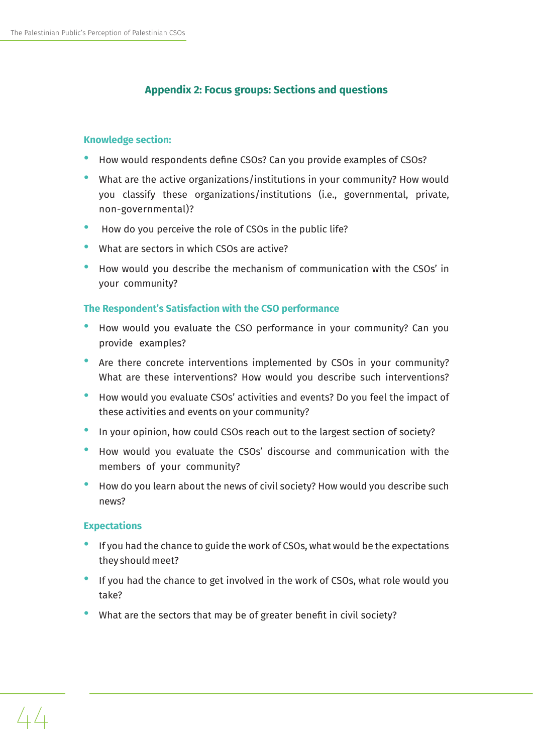#### **Appendix 2: Focus groups: Sections and questions**

#### **Knowledge section:**

- How would respondents define CSOs? Can you provide examples of CSOs?
- What are the active organizations/institutions in your community? How would you classify these organizations/institutions (i.e., governmental, private, non-governmental)?
- How do you perceive the role of CSOs in the public life?
- What are sectors in which CSOs are active?
- How would you describe the mechanism of communication with the CSOs' in your community?

#### **The Respondent's Satisfaction with the CSO performance**

- How would you evaluate the CSO performance in your community? Can you provide examples?
- Are there concrete interventions implemented by CSOs in your community? What are these interventions? How would you describe such interventions?
- How would you evaluate CSOs' activities and events? Do you feel the impact of these activities and events on your community?
- In your opinion, how could CSOs reach out to the largest section of society?
- How would you evaluate the CSOs' discourse and communication with the members of your community?
- How do you learn about the news of civil society? How would you describe such news?

#### **Expectations**

- If you had the chance to guide the work of CSOs, what would be the expectations they should meet?
- If you had the chance to get involved in the work of CSOs, what role would you take?
- What are the sectors that may be of greater benefit in civil society?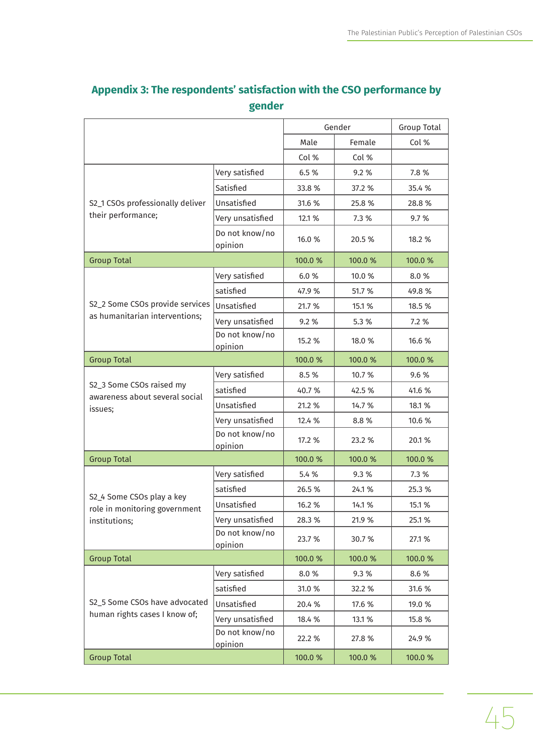|                                                            |                           | Gender  |         | <b>Group Total</b> |
|------------------------------------------------------------|---------------------------|---------|---------|--------------------|
|                                                            |                           | Male    | Female  | Col %              |
|                                                            |                           | Col %   | Col %   |                    |
|                                                            | Very satisfied            | 6.5%    | 9.2 %   | 7.8%               |
|                                                            | Satisfied                 | 33.8%   | 37.2 %  | 35.4 %             |
| S2_1 CSOs professionally deliver                           | Unsatisfied               | 31.6 %  | 25.8%   | 28.8%              |
| their performance;                                         | Very unsatisfied          | 12.1 %  | 7.3 %   | 9.7 %              |
|                                                            | Do not know/no<br>opinion | 16.0%   | 20.5%   | 18.2 %             |
| <b>Group Total</b>                                         |                           | 100.0 % | 100.0 % | 100.0 %            |
|                                                            | Very satisfied            | 6.0%    | 10.0%   | 8.0%               |
|                                                            | satisfied                 | 47.9%   | 51.7 %  | 49.8%              |
| S2_2 Some CSOs provide services                            | Unsatisfied               | 21.7 %  | 15.1 %  | 18.5 %             |
| as humanitarian interventions;                             | Very unsatisfied          | 9.2%    | 5.3 %   | 7.2 %              |
|                                                            | Do not know/no<br>opinion | 15.2 %  | 18.0 %  | 16.6 %             |
| <b>Group Total</b>                                         |                           | 100.0 % | 100.0 % | 100.0 %            |
|                                                            | Very satisfied            | 8.5%    | 10.7%   | 9.6 %              |
| S2_3 Some CSOs raised my<br>awareness about several social | satisfied                 | 40.7%   | 42.5 %  | 41.6 %             |
| issues;                                                    | Unsatisfied               | 21.2 %  | 14.7 %  | 18.1 %             |
|                                                            | Very unsatisfied          | 12.4 %  | 8.8%    | 10.6 %             |
|                                                            | Do not know/no<br>opinion | 17.2 %  | 23.2 %  | 20.1%              |
| <b>Group Total</b>                                         |                           | 100.0 % | 100.0 % | 100.0 %            |
|                                                            | Very satisfied            | 5.4 %   | 9.3%    | 7.3 %              |
| S2_4 Some CSOs play a key                                  | satisfied                 | 26.5%   | 24.1 %  | 25.3 %             |
| role in monitoring government                              | Unsatisfied               | 16.2 %  | 14.1 %  | 15.1 %             |
| institutions;                                              | Very unsatisfied          | 28.3%   | 21.9 %  | 25.1%              |
|                                                            | Do not know/no<br>opinion | 23.7 %  | 30.7%   | 27.1 %             |
| <b>Group Total</b>                                         |                           | 100.0 % | 100.0 % | 100.0 %            |
|                                                            | Very satisfied            | 8.0%    | 9.3%    | 8.6%               |
| S2_5 Some CSOs have advocated                              | satisfied                 | 31.0 %  | 32.2 %  | 31.6 %             |
|                                                            | Unsatisfied               | 20.4 %  | 17.6 %  | 19.0 %             |
| human rights cases I know of;                              | Very unsatisfied          | 18.4 %  | 13.1 %  | 15.8 %             |
|                                                            | Do not know/no<br>opinion | 22.2 %  | 27.8 %  | 24.9 %             |
| <b>Group Total</b>                                         |                           | 100.0 % | 100.0 % | 100.0 %            |

# **Appendix 3: The respondents' satisfaction with the CSO performance by gender**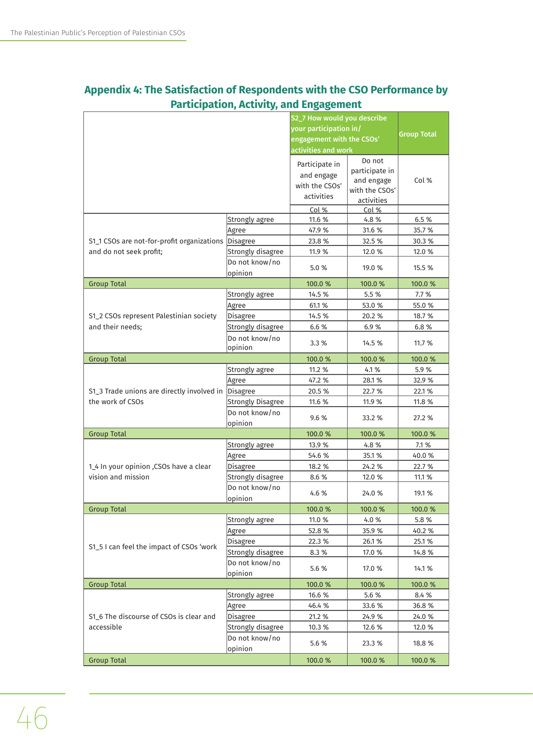|                                            | S2_7 How would you describe  |                                            |                          |         |
|--------------------------------------------|------------------------------|--------------------------------------------|--------------------------|---------|
|                                            | your participation in/       |                                            |                          |         |
|                                            | engagement with the CSOs'    | <b>Group Total</b>                         |                          |         |
|                                            | activities and work          |                                            |                          |         |
|                                            |                              | Participate in<br>and engage               | Do not<br>participate in |         |
|                                            | with the CSOs'<br>activities | and engage<br>with the CSOs'<br>activities | Col %                    |         |
|                                            | Col %                        | Col %                                      |                          |         |
|                                            | Strongly agree               | 11.6 %                                     | 4.8%                     | 6.5%    |
|                                            | Agree                        | 47.9%                                      | 31.6 %                   | 35.7%   |
| S1_1 CSOs are not-for-profit organizations | Disagree                     | 23.8 %                                     | 32.5 %                   | 30.3 %  |
| and do not seek profit;                    | Strongly disagree            | 11.9 %                                     | 12.0 %                   | 12.0 %  |
|                                            | Do not know/no               |                                            |                          |         |
|                                            | opinion                      | 5.0 %                                      | 19.0 %                   | 15.5 %  |
| <b>Group Total</b>                         |                              | 100.0 %                                    | 100.0 %                  | 100.0 % |
|                                            | Strongly agree               | 14.5 %                                     | 5.5%                     | 7.7 %   |
|                                            | Agree                        | 61.1 %                                     | 53.0 %                   | 55.0 %  |
| S1_2 CSOs represent Palestinian society    | Disagree                     | 14.5 %                                     | 20.2 %                   | 18.7%   |
| and their needs;                           | Strongly disagree            | 6.6%                                       | 6.9%                     | 6.8%    |
|                                            | Do not know/no<br>opinion    | 3.3%                                       | 14.5 %                   | 11.7 %  |
| <b>Group Total</b>                         |                              | 100.0 %                                    | 100.0 %                  | 100.0 % |
|                                            | Strongly agree               | 11.2 %                                     | 4.1%                     | 5.9%    |
|                                            | Agree                        | 47.2 %                                     | 28.1%                    | 32.9 %  |
| S1_3 Trade unions are directly involved in | Disagree                     | 20.5%                                      | 22.7%                    | 22.1 %  |
| the work of CSOs                           | <b>Strongly Disagree</b>     | 11.6 %                                     | 11.9 %                   | 11.8 %  |
|                                            | Do not know/no<br>opinion    | 9.6 %                                      | 33.2 %                   | 27.2 %  |
| <b>Group Total</b>                         | 100.0 %                      | 100.0 %                                    | 100.0 %                  |         |
|                                            | Strongly agree               | 13.9 %                                     | 4.8%                     | 7.1 %   |
|                                            | Agree                        | 54.6 %                                     | 35.1 %                   | 40.0 %  |
| 1_4 In your opinion ,CSOs have a clear     | Disagree                     | 18.2 %                                     | 24.2 %                   | 22.7 %  |
| vision and mission                         | Strongly disagree            | 8.6 %                                      | 12.0 %                   | 11.1 %  |
|                                            | Do not know/no<br>opinion    | 4.6 %                                      | 24.0 %                   | 19.1 %  |
| <b>Group Total</b>                         |                              | 100.0%                                     | 100.0 %                  | 100.0 % |
|                                            | Strongly agree               | 11.0 %                                     | 4.0%                     | 5.8%    |
|                                            | Agree                        | 52.8%                                      | 35.9%                    | 40.2 %  |
|                                            | Disagree                     | 22.3 %                                     | 26.1%                    | 25.1%   |
| S1_5 I can feel the impact of CSOs 'work   | Strongly disagree            | 8.3%                                       | 17.0 %                   | 14.8 %  |
|                                            | Do not know/no<br>opinion    | 5.6 %                                      | 17.0 %                   | 14.1 %  |
| <b>Group Total</b>                         |                              | 100.0 %                                    | 100.0 %                  | 100.0 % |
|                                            | Strongly agree               | 16.6 %                                     | 5.6 %                    | 8.4 %   |
|                                            | Agree                        | 46.4 %                                     | 33.6 %                   | 36.8%   |
| S1_6 The discourse of CSOs is clear and    | Disagree                     | 21.2 %                                     | 24.9%                    | 24.0 %  |
| accessible                                 | Strongly disagree            | 10.3 %                                     | 12.6 %                   | 12.0 %  |
|                                            | Do not know/no<br>opinion    | 5.6 %                                      | 23.3 %                   | 18.8 %  |
| <b>Group Total</b>                         | 100.0 %                      | 100.0 %                                    | 100.0 %                  |         |

## **Appendix 4: The Satisfaction of Respondents with the CSO Performance by Participation, Activity, and Engagement**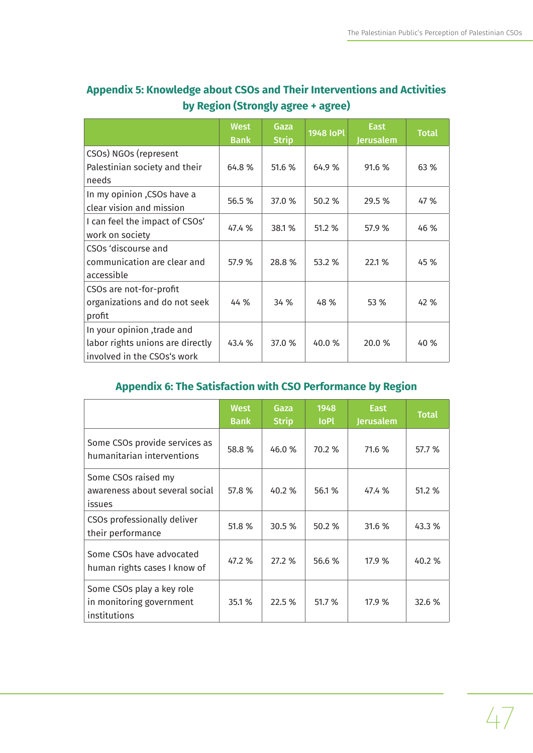|                                  | <b>West</b><br><b>Bank</b> | Gaza<br><b>Strip</b> | <b>1948 IoPl</b> | <b>East</b><br><b>Jerusalem</b> | <b>Total</b> |
|----------------------------------|----------------------------|----------------------|------------------|---------------------------------|--------------|
| CSOs) NGOs (represent            |                            |                      |                  |                                 |              |
| Palestinian society and their    | 64.8%                      | 51.6 %               | 64.9 %           | 91.6 %                          | 63 %         |
| needs                            |                            |                      |                  |                                 |              |
| In my opinion , CSOs have a      | 56.5 %                     |                      |                  |                                 | 47 %         |
| clear vision and mission         |                            | 37.0 %               | 50.2 %           | 29.5 %                          |              |
| I can feel the impact of CSOs'   | 47.4 %                     | 38.1 %               | 51.2%            | 57.9 %                          | 46 %         |
| work on society                  |                            |                      |                  |                                 |              |
| CSOs 'discourse and              |                            |                      |                  |                                 |              |
| communication are clear and      | 57.9 %                     | 28.8%                | 53.2 %           | 22.1 %                          | 45 %         |
| accessible                       |                            |                      |                  |                                 |              |
| CSOs are not-for-profit          |                            |                      |                  |                                 |              |
| organizations and do not seek    | 44 %                       | 34 %                 | 48 %             | 53 %                            | 42 %         |
| profit                           |                            |                      |                  |                                 |              |
| In your opinion , trade and      |                            |                      |                  |                                 |              |
| labor rights unions are directly | 43.4 %                     | 37.0 %               | 40.0 %           | 20.0 %                          | 40 %         |
| involved in the CSOs's work      |                            |                      |                  |                                 |              |

# **Appendix 5: Knowledge about CSOs and Their Interventions and Activities by Region (Strongly agree + agree)**

# **Appendix 6: The Satisfaction with CSO Performance by Region**

|                                                                        | <b>West</b><br><b>Bank</b> | Gaza<br><b>Strip</b> | 1948<br><b>IoPL</b> | <b>East</b><br><b>Jerusalem</b> | <b>Total</b> |
|------------------------------------------------------------------------|----------------------------|----------------------|---------------------|---------------------------------|--------------|
| Some CSOs provide services as<br>humanitarian interventions            | 58.8%                      | 46.0 %               | 70.2 %              | 71.6 %                          | 57.7 %       |
| Some CSOs raised my<br>awareness about several social<br><i>issues</i> | 57.8 %                     | 40.2 %               | 56.1 %              | 47.4 %                          | 51.2 %       |
| CSOs professionally deliver<br>their performance                       | 51.8 %                     | 30.5 %               | 50.2 %              | 31.6 %                          | 43.3 %       |
| Some CSOs have advocated<br>human rights cases I know of               | 47.2 %                     | 27.2 %               | 56.6 %              | 17.9 %                          | 40.2 %       |
| Some CSOs play a key role<br>in monitoring government<br>institutions  | 35.1 %                     | 22.5 %               | 51.7 %              | 17.9 %                          | 32.6 %       |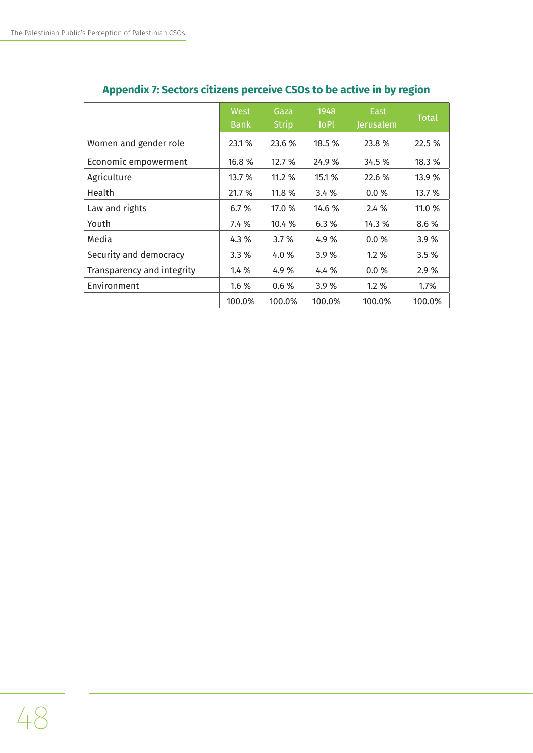|                            | <b>West</b><br><b>Bank</b> | Gaza<br><b>Strip</b> | 1948<br><b>IoPL</b> | East<br>Jerusalem | <b>Total</b> |
|----------------------------|----------------------------|----------------------|---------------------|-------------------|--------------|
| Women and gender role      | 23.1 %                     | 23.6 %               | 18.5 %              | 23.8 %            | 22.5 %       |
| Economic empowerment       | 16.8 %                     | 12.7%                | 24.9 %              | 34.5 %            | 18.3 %       |
| Agriculture                | 13.7 %                     | 11.2%                | 15.1 %              | 22.6 %            | 13.9 %       |
| Health                     | 21.7 %                     | 11.8 %               | 3.4%                | 0.0 %             | 13.7 %       |
| Law and rights             | 6.7%                       | 17.0 %               | 14.6 %              | 2.4%              | 11.0 %       |
| Youth                      | 7.4 %                      | 10.4 %               | 6.3%                | 14.3 %            | 8.6 %        |
| Media                      | 4.3%                       | 3.7%                 | 4.9%                | 0.0%              | 3.9%         |
| Security and democracy     | 3.3%                       | 4.0%                 | 3.9%                | 1.2%              | 3.5%         |
| Transparency and integrity | 1.4%                       | 4.9%                 | 4.4%                | 0.0 %             | 2.9 %        |
| Environment                | 1.6%                       | 0.6%                 | 3.9%                | 1.2%              | $1.7\%$      |
|                            | 100.0%                     | 100.0%               | 100.0%              | 100.0%            | 100.0%       |

# **Appendix 7: Sectors citizens perceive CSOs to be active in by region**